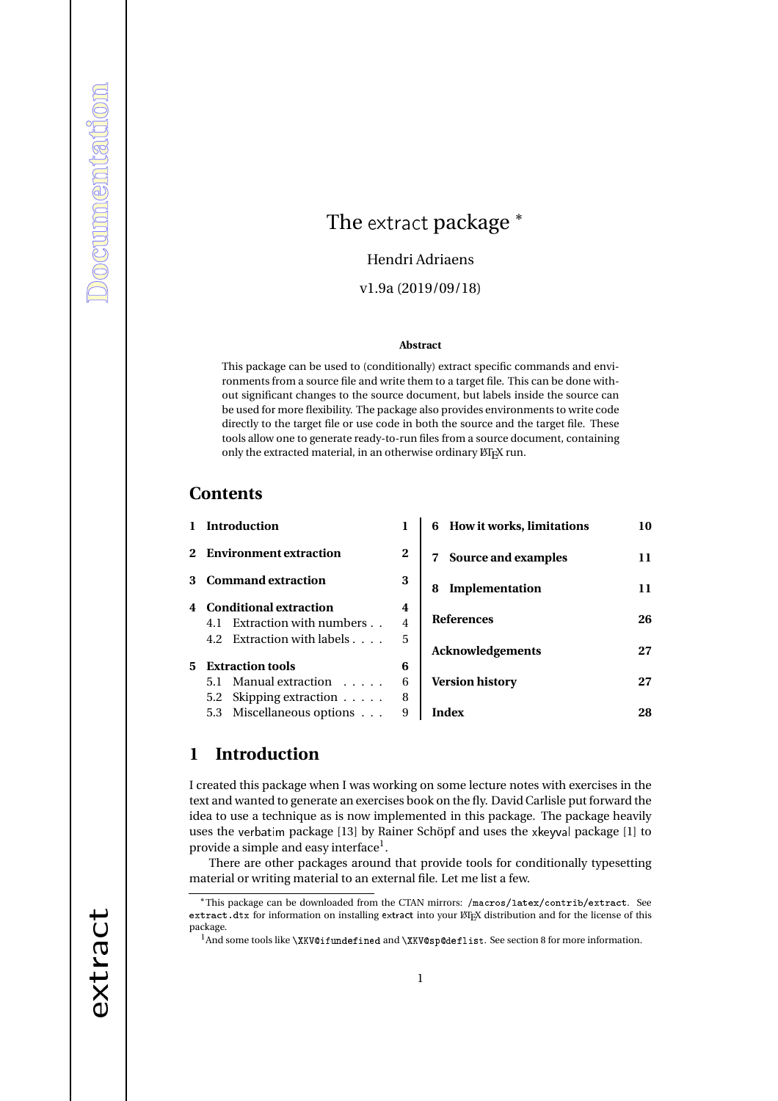# The extract package \*

Hendri Adriaens

v1.9a (2019/09/18)

#### **Abstract**

This package can be used to (conditionally) extract specific commands and environments from a source file and write them to a target file. This can be done without significant changes to the source document, but labels inside the source can be used for more flexibility. The package also provides environments to write code directly to the target file or use code in both the source and the target file. These tools allow one to generate ready-to-run files from a source document, containing only the extracted material, in an otherwise ordinary LATEX run.

## **Contents**

| $\mathbf{1}$ | <b>Introduction</b>         | 1        | 6 How it works, limitations | 10 |
|--------------|-----------------------------|----------|-----------------------------|----|
|              | 2 Environment extraction    | $\bf{2}$ | Source and examples<br>7    | 11 |
|              | 3 Command extraction        |          | Implementation<br>8         | 11 |
|              | 4 Conditional extraction    | 4        |                             |    |
|              | 4.1 Extraction with numbers | 4        | <b>References</b>           | 26 |
|              | 4.2 Extraction with labels  | 5        | <b>Acknowledgements</b>     | 27 |
| 5.           | <b>Extraction tools</b>     | 6        |                             |    |
|              | 5.1 Manual extraction       | 6        | <b>Version history</b>      | 27 |
|              | 5.2 Skipping extraction     | 8        |                             |    |
|              | 5.3 Miscellaneous options   | 9        | Index                       | 28 |
|              |                             |          |                             |    |

# **1 Introduction**

I created this package when I was working on some lecture notes with exercises in the text and wanted to generate an exercises book on the fly. David Carlisle put forward the idea to use a technique as is now implemented in this package. The package heavily uses the verbatim package [13] by Rainer Schöpf and uses the xkeyval package [1] to provide a simple and easy interface $^{\rm l}$  .

There are other packages around that provide tools for conditionally typesetting material or writing material to an external file. Let me list a few.

<sup>\*</sup>This package can be downloaded from the CTAN mirrors: /macros/latex/contrib/extract. See extract. dtx for information on installing extract into your LATEX distribution and for the license of this package.

<sup>&</sup>lt;sup>1</sup>And some tools like \XKV@ifundefined and \XKV@sp@deflist. See section 8 for more information.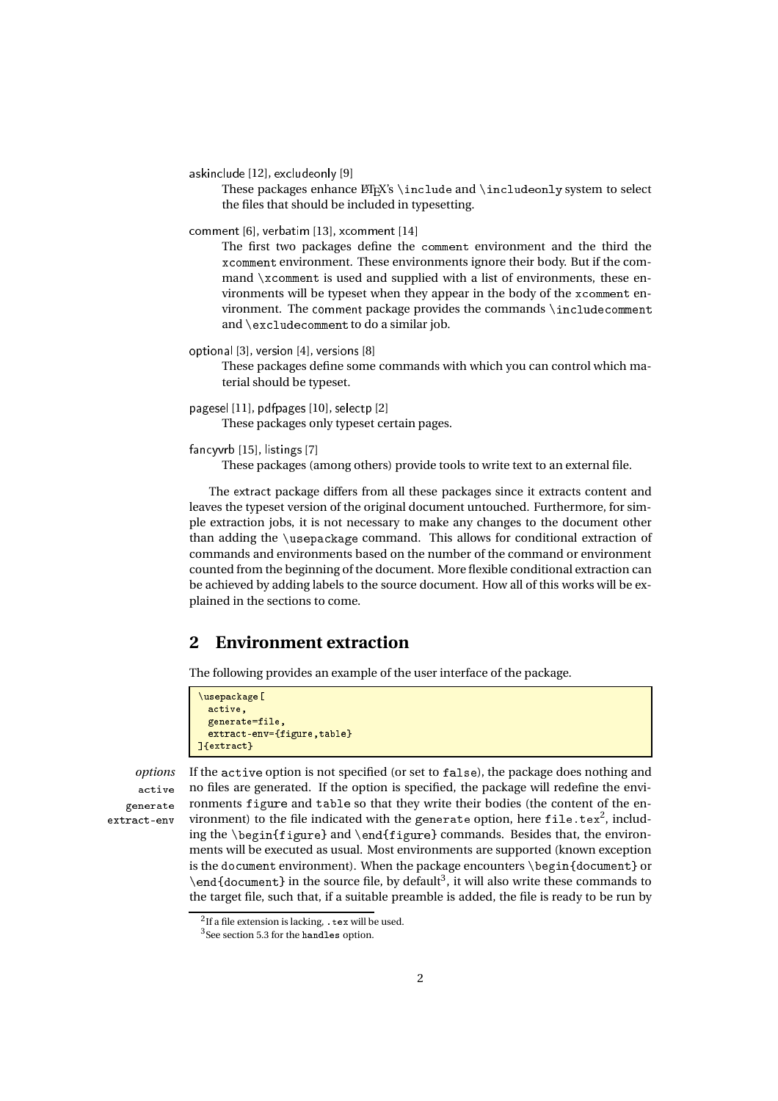askin
lude [12], ex
ludeonly [9]

These packages enhance  $\mathbb{F}^X$ 's \include and \includeonly system to select the files that should be included in typesetting.

omment [6], verbatim [13], x
omment [14]

The first two packages define the omment environment and the third the x
omment environment. These environments ignore their body. But if the command \x
omment is used and supplied with a list of environments, these environments will be typeset when they appear in the body of the x
omment environment. The comment package provides the commands \includecomment and \ex
lude
omment to do a similar job.

optional [3], version [4], versions [8]

These packages define some commands with which you can control which material should be typeset.

pagesel [11], pdfpages [10], selectp [2]

These packages only typeset certain pages.

#### fancyvrb [15], listings [7]

These packages (among others) provide tools to write text to an external file.

The extra
t package differs from all these packages since it extracts content and leaves the typeset version of the original document untouched. Furthermore, for simple extraction jobs, it is not necessary to make any changes to the document other than adding the \usepa
kage command. This allows for conditional extraction of commands and environments based on the number of the command or environment counted from the beginning of the document. More flexible conditional extraction can be achieved by adding labels to the source document. How all of this works will be explained in the sections to come.

## **2 Environment extraction**

The following provides an example of the user interface of the package.

```
\usepackage[
     active,
     generate=file,
      extract-env={figure, table}
<u>the contract of the contract of the contract of the contract of the contract of the contract of the contract of the contract of the contract of the contract of the contract of the contract of the contract of the contract </u>
```
active generate

*options* If the a
tive option is not specified (or set to false), the package does nothing and no files are generated. If the option is specified, the package will redefine the environments figure and table so that they write their bodies (the content of the environment) to the file indicated with the generate option, here <code>file.tex $^2$ , includ-</code> ing the \begin{figure} and \end{figure} commands. Besides that, the environments will be executed as usual. Most environments are supported (known exception is the document environment). When the package encounters  $\begin{array}{c}$  document} or \end{document} in the source file, by default<sup>3</sup>, it will also write these commands to the target file, such that, if a suitable preamble is added, the file is ready to be run by

 $2$ If a file extension is lacking, tex will be used.

 $3$ See section 5.3 for the handles option.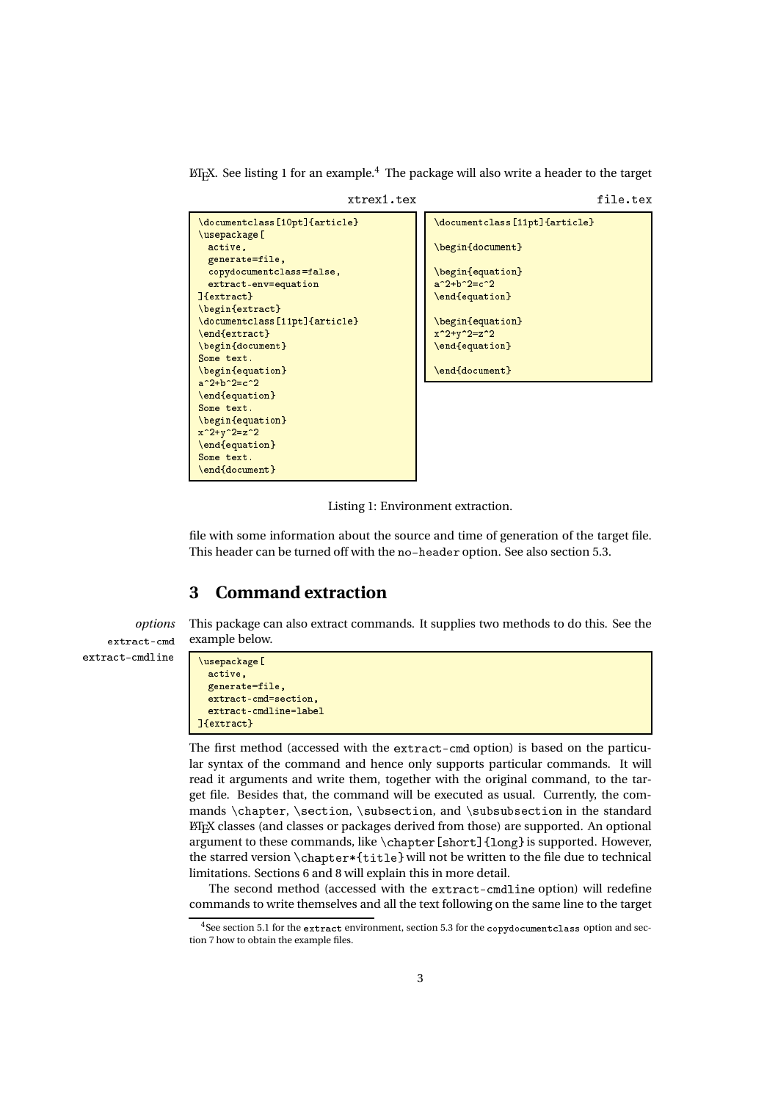$\Delta E$ <sub>EX</sub>. See listing 1 for an example.<sup>4</sup> The package will also write a header to the target

```
xtrex1.tex
                                                                             file.tex
                                              \do cument class [11pt] {article}
\documentclass[10pt]{article}
\usepackage[
                                              \begin{document}
  a
tive,
 generate=file,

opydo
ument
lass=false,
                                              \begin{equation}
                                             a^2+b^2=-c^2extract-env=equation
]{extract}
                                             \end{equation}
\begin{extract}
\{do cument class [11pt]\{article\}\begin{equation}
\end{extract}
                                             x^2+y^2=z^2\begin{document}
                                             \end{equation}
Some text.
\begin{equation}
                                              \end{document}
a^2 + b^2 = c^2\end{equation}
Some text.
\begin{equation}
x^2+y^2=z^2\end{equation}
Some text.
\end{document}
\ddot{\phantom{a}}
```


file with some information about the source and time of generation of the target file. This header can be turned off with the no-header option. See also section 5.3.

## **3 Command extraction**

*options* This package can also extract commands. It supplies two methods to do this. See the example below.

extract-cmd extract-cmdline

```
\usepackage[
 active.
  a
tive,
  generate=file,
  extract-cmd=section,
  extract-cmdline=label
]{extract}
```
The first method (accessed with the extract-cmd option) is based on the particular syntax of the command and hence only supports particular commands. It will read it arguments and write them, together with the original command, to the target file. Besides that, the command will be executed as usual. Currently, the commands \chapter, \section, \subsection, and \subsubsection in the standard LATEX classes (and classes or packages derived from those) are supported. An optional argument to these commands, like  $\ch{short}$  {long} is supported. However, the starred version \
hapter\*{title} will not be written to the file due to technical limitations. Sections 6 and 8 will explain this in more detail.

The second method (accessed with the extract-cmdline option) will redefine commands to write themselves and all the text following on the same line to the target

<sup>&</sup>lt;sup>4</sup>See section 5.1 for the extract environment, section 5.3 for the copydocument class option and section 7 how to obtain the example files.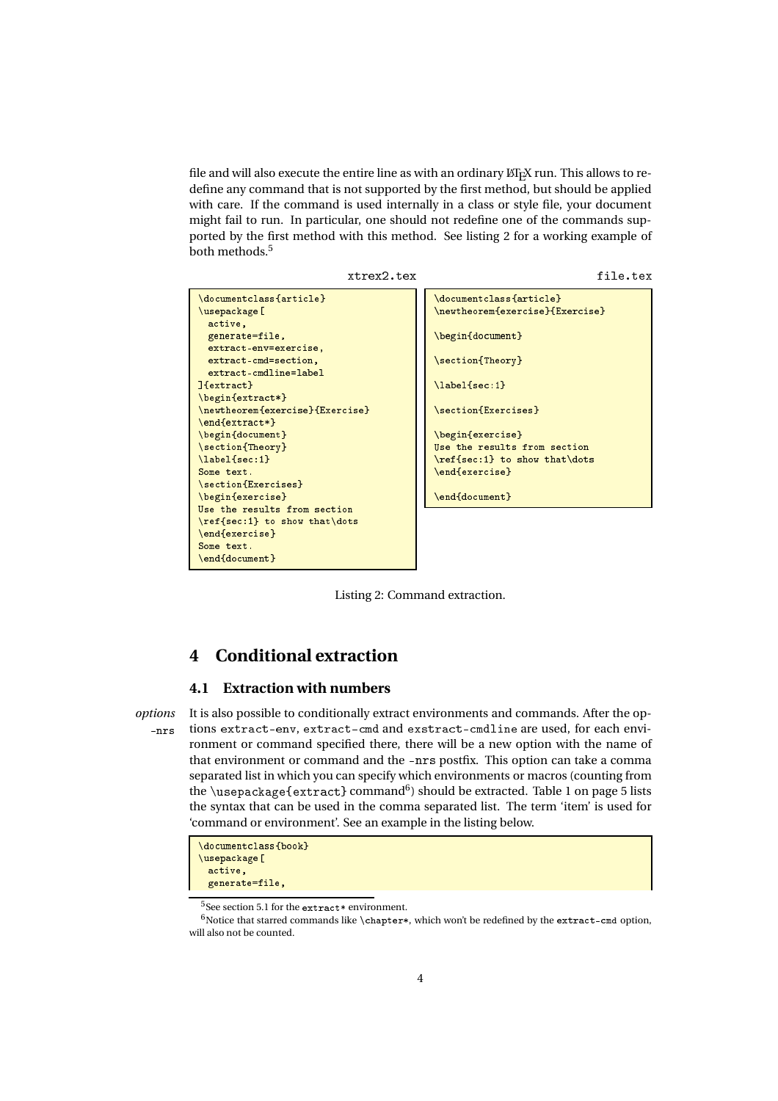file and will also execute the entire line as with an ordinary  $\operatorname{ETr}X$  run. This allows to redefine any command that is not supported by the first method, but should be applied with care. If the command is used internally in a class or style file, your document might fail to run. In particular, one should not redefine one of the commands supported by the first method with this method. See listing 2 for a working example of both methods.<sup>5</sup>

xtrex2.tex file.tex \documentclass{article} \documentclass{article} \do
ument
lass{arti
le} \usepackage[ \newtheorem{exer
ise}{Exer
ise} active, generate=file, \begin{document} extract-env=exercise, extract-cmd=section, \se
tion{Theory}  $extractionaline = label$  $]$ {extract} \label{sec:1} \begin{extract\*} \se
tion{Exer
ises} \newtheorem{exer
ise}{Exer
ise} \end{extract\*} \begin{do
ument} \begin{exer
ise} \se
tion{Theory} Use the results from section \label{sec:1} \ref{se
:1} to show that\dots Some text. \end{exercise} \end{exer
ise} \se
tion{Exer
ises} \begin{exer
ise} \end{document} Use the results from section \ref{se
:1} to show that\dots \end{exercise} \end{exer
ise} Some text. \end{document}

Listing 2: Command extraction.

## **4 Conditional extraction**

### **4.1 Extraction with numbers**

*options* It is also possible to conditionally extract environments and commands. After the op- -nrs tions extract-env, extract-cmd and exstract-cmdline are used, for each environment or command specified there, there will be a new option with the name of that environment or command and the -nrs postfix. This option can take a comma separated list in which you can specify which environments or macros (counting from the \usepackage{extract} command $^6$ ) should be extracted. Table 1 on page 5 lists the syntax that can be used in the comma separated list. The term 'item' is used for 'command or environment'. See an example in the listing below.

```
\documentclass{book}
\usepackage [
 active,
 generate=file,
```
 $5$ See section 5.1 for the extract\* environment.

 $^6\rm{Notice}$  that starred commands like **\chapter\***, which won't be redefined by the extract-cmd option, will also not be counted.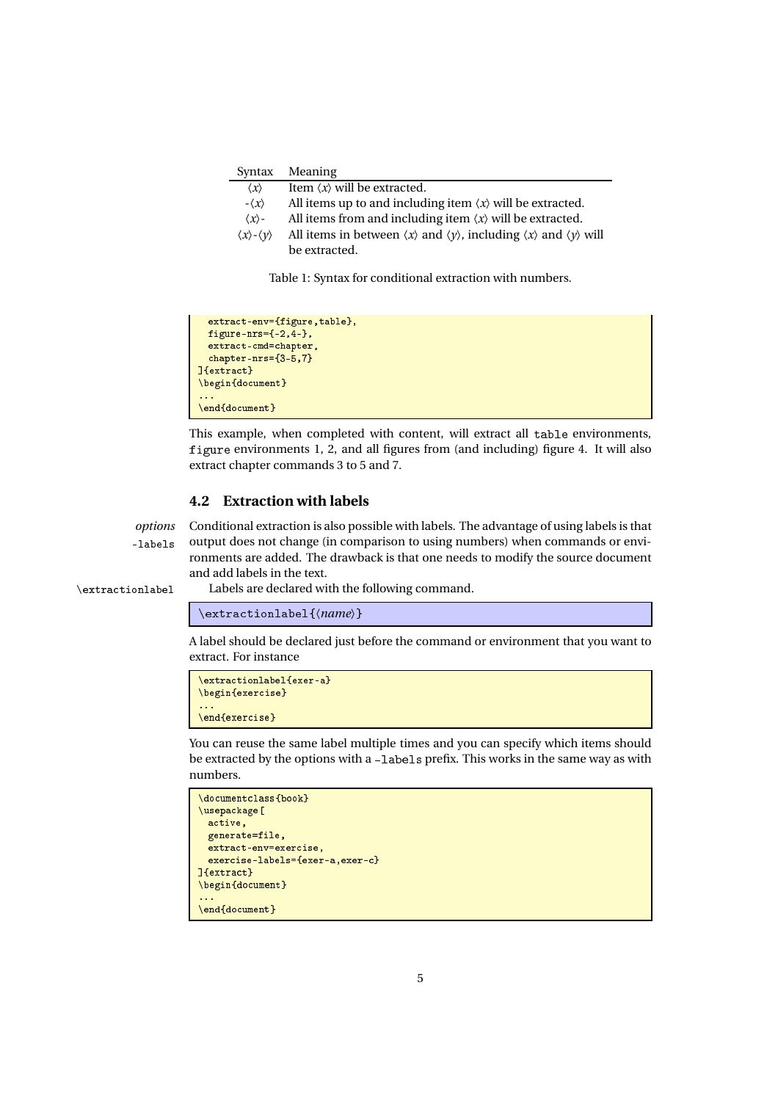| Syntax                                    | Meaning                                                                                                                       |
|-------------------------------------------|-------------------------------------------------------------------------------------------------------------------------------|
| $\langle x \rangle$                       | Item $\langle x \rangle$ will be extracted.                                                                                   |
| $-\langle x \rangle$                      | All items up to and including item $\langle x \rangle$ will be extracted.                                                     |
| $\langle x \rangle$ -                     | All items from and including item $\langle x \rangle$ will be extracted.                                                      |
| $\langle x \rangle$ - $\langle y \rangle$ | All items in between $\langle x \rangle$ and $\langle y \rangle$ , including $\langle x \rangle$ and $\langle y \rangle$ will |
|                                           | be extracted.                                                                                                                 |

Table 1: Syntax for conditional extraction with numbers.

```
extract-env={figure,table},
 figure-nrs=\{-2,4-\},
 extract-cmd=chapter,
 chapter-nrs={3-5,7}]{extract}
\begin{document}
\end{document}
```
This example, when completed with content, will extract all table environments, figure environments 1, 2, and all figures from (and including) figure 4. It will also extract chapter commands 3 to 5 and 7.

### **4.2 Extraction with labels**

*options* Conditional extraction is also possible with labels. The advantage of using labels is that -labels output does not change (in comparison to using numbers) when commands or environments are added. The drawback is that one needs to modify the source document and add labels in the text.

\extra
tionlabel Labels are declared with the following command.

\extra
tionlabel{〈*name*〉}

A label should be declared just before the command or environment that you want to extract. For instance

```
\extractionlabel{exer-a}
\begin{exer
ise}
\end{exer
ise}
```
You can reuse the same label multiple times and you can specify which items should be extracted by the options with a -labels prefix. This works in the same way as with numbers.

```
\documentclass{book}
\usepackage [
 active,
 generate=file,
 extract-env=exercise,
 exercise-labels={exer-a,exer-c}
]{extract}
\begin{do
ument}
\end{document}
```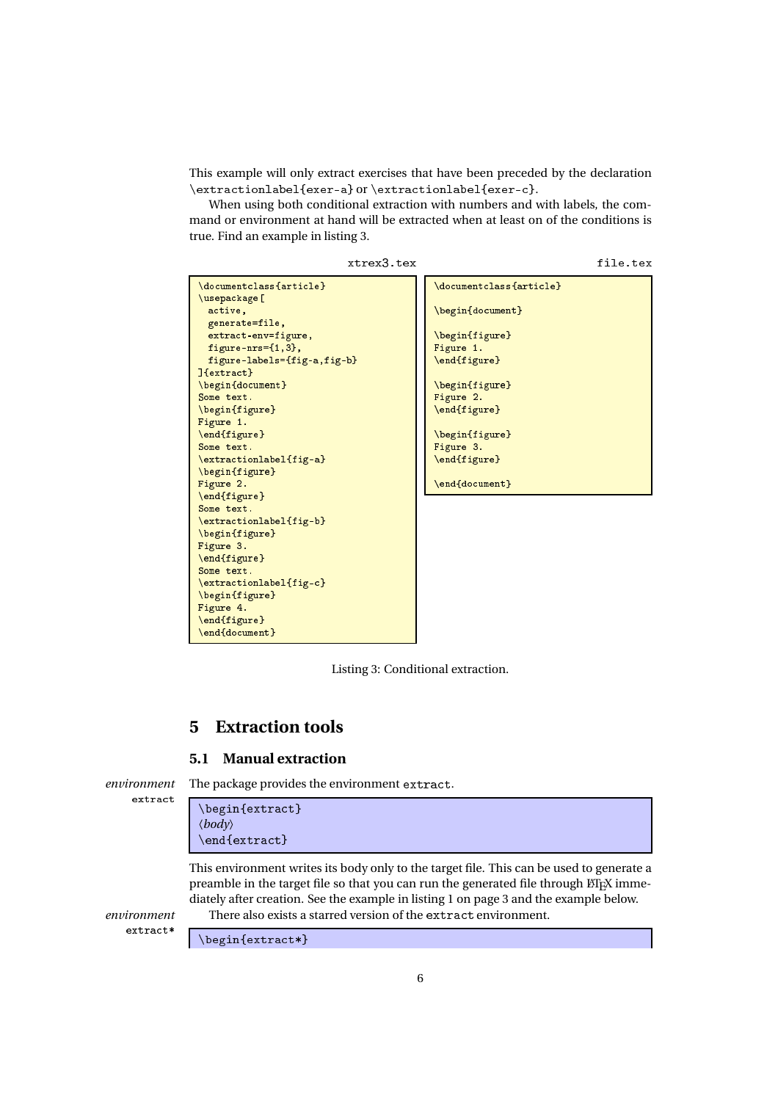This example will only extract exercises that have been preceded by the declaration \extractionlabel{exer-a} or \extractionlabel{exer-c}.

When using both conditional extraction with numbers and with labels, the command or environment at hand will be extracted when at least on of the conditions is true. Find an example in listing 3.

```
xtrex3.tex
```
file.tex

```
\documentclass{article}
\usepackage[
  a
tive,
 generate=file,
 extract-env=figure,
 figure-nrs={1,3},
 figure-labels={fig-a,fig-b}
]{extract}
\begin{do
ument}
Some text.
\begin{figure}
Figure 1.
\end{figure}
Some text.
\extractionlabel{fig-a}
\begin{figure}
Figure 2.
\end{figure}
Some text.
\extractionlabel{fig-b}
\begin{figure}
Figure 3.
\end{figure}
Some text.
\extractionlabel{fig-c}
\begin{figure}
Figure 4.
\end{figure}
\end{document}
                                             \documentclass{article}
                                             \begin{do
ument}
                                             \begin{figure}
                                            Figure 1.
                                             \end{figure}
                                             \begin{figure}
                                             Figure 2.
                                             \end{figure}
                                             \begin{figure}
                                             Figure 3.
                                             \end{figure}
                                             \end{document}
```
Listing 3: Conditional extraction.

## **5 Extraction tools**

#### **5.1 Manual extraction**

extract

environment The package provides the environment extract.

```
\begin{extract}
〈body〉
\end{extract}
```
This environment writes its body only to the target file. This can be used to generate a preamble in the target file so that you can run the generated file through  $ETrX$  immediately after creation. See the example in listing 1 on page 3 and the example below.

*environment* There also exists a starred version of the extra
t environment.

extract\*

 $\begin{cases}$  \begin{extract\*}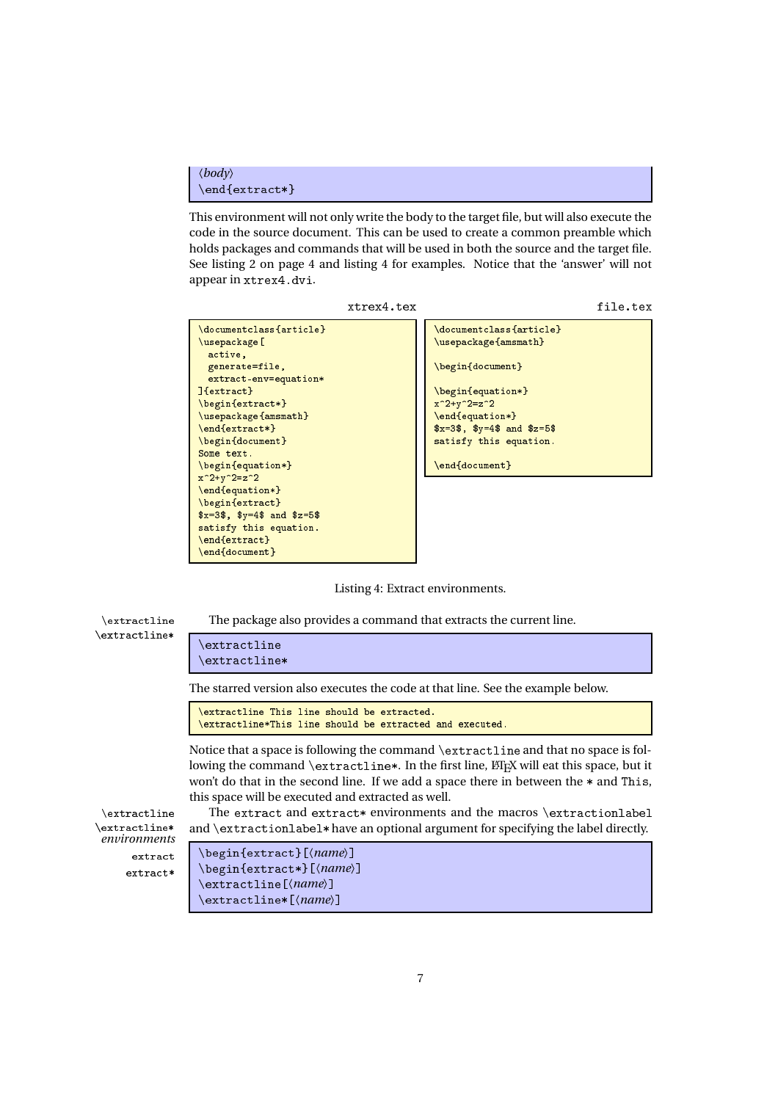```
〈body〉
\end{extract*}
```
This environment will not only write the body to the target file, but will also execute the code in the source document. This can be used to create a common preamble which holds packages and commands that will be used in both the source and the target file. See listing 2 on page 4 and listing 4 for examples. Notice that the 'answer' will not appear in xtrex4.dvi.







\extractline\*[(*name*)]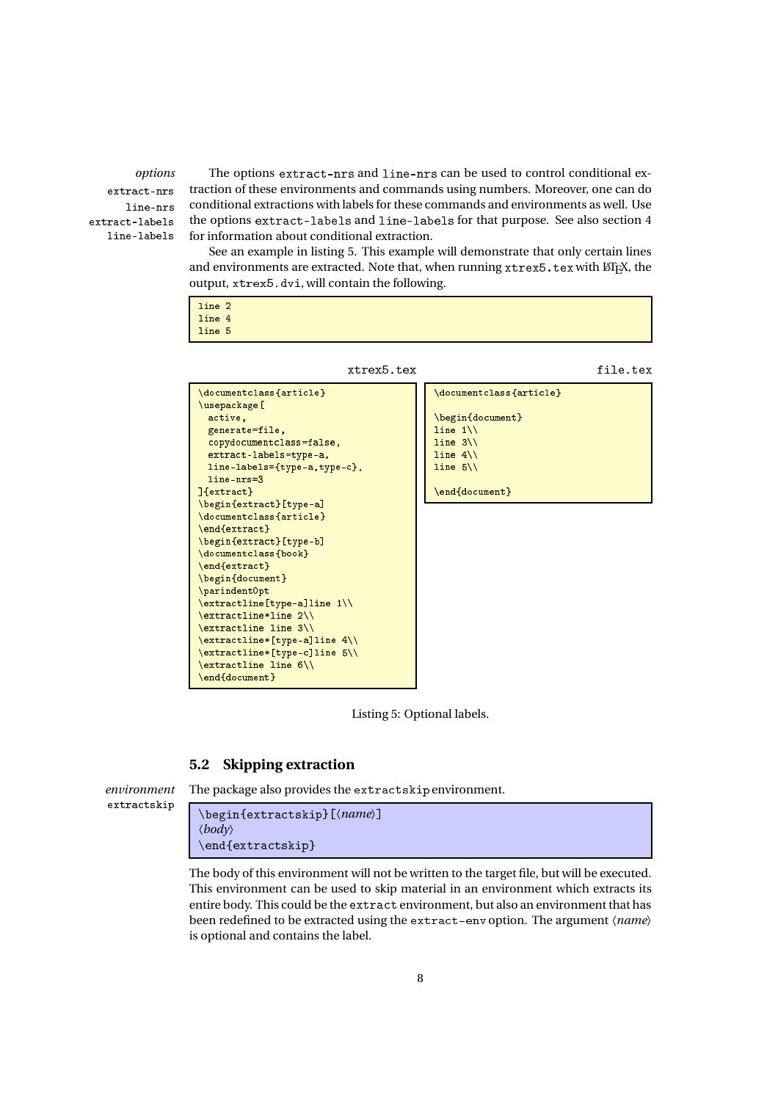extract-nrs line-nrs extract-labels line-labels

*options* The options extract-nrs and line-nrs can be used to control conditional extraction of these environments and commands using numbers. Moreover, one can do conditional extractions with labels for these commands and environments as well. Use the options extract-labels and line-labels for that purpose. See also section 4 for information about conditional extraction.

See an example in listing 5. This example will demonstrate that only certain lines and environments are extracted. Note that, when running  $x$ trex5.tex with  $\mathbb{E} \mathbb{F} X$ , the output, xtrex5.dvi, will contain the following.

| line 2 |  |  |  |  |  |
|--------|--|--|--|--|--|
| line 4 |  |  |  |  |  |
| line 5 |  |  |  |  |  |
|        |  |  |  |  |  |

xtrex5.tex

file.tex



Listing 5: Optional labels.

### **5.2 Skipping extraction**

```
environment The package also provides the extractskip environment.
extractskip
```
\begin{extractskip}[(*name*)] 〈*body*〉 \end{extractskip}

The body of this environment will not be written to the target file, but will be executed. This environment can be used to skip material in an environment which extracts its entire body. This could be the extract environment, but also an environment that has been redefined to be extracted using the extract-env option. The argument  $\langle name \rangle$ is optional and contains the label.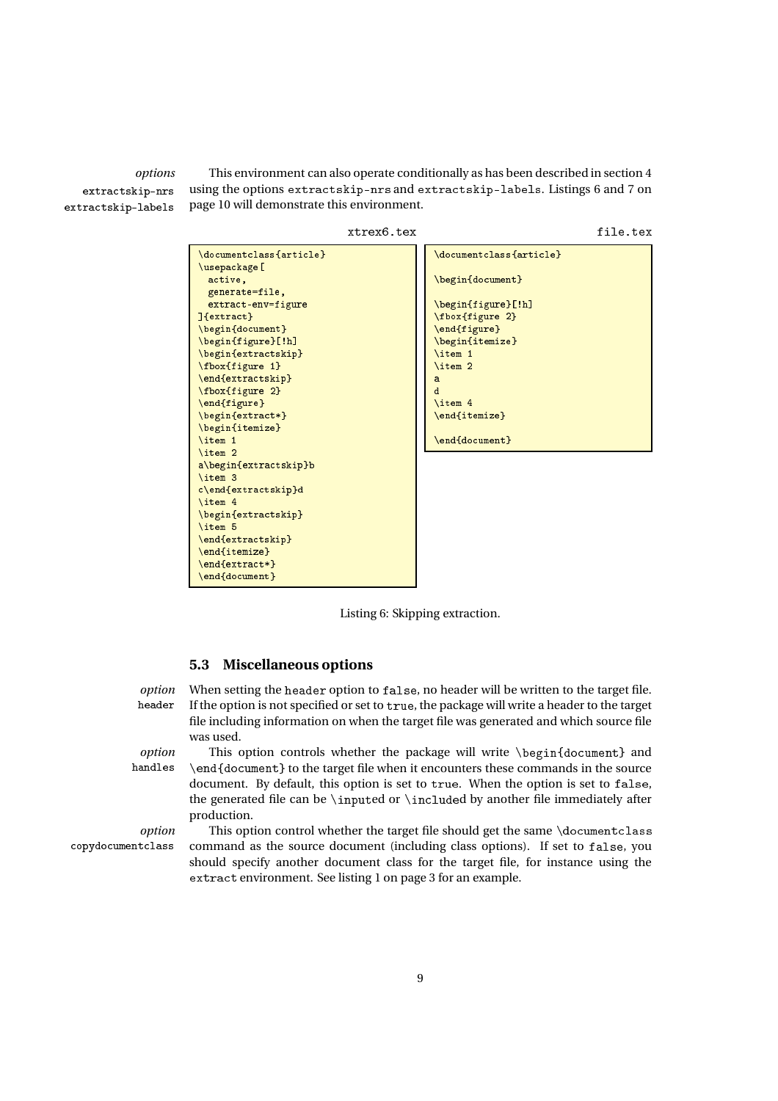extractskip-nrs extractskip-labels

*options* This environment can also operate conditionally as has been described in section 4 using the options extra
tskip-nrs and extra
tskip-labels. Listings 6 and 7 on page 10 will demonstrate this environment.



Listing 6: Skipping extraction.

### **5.3 Miscellaneous options**

*option* When setting the header option to false, no header will be written to the target file. header If the option is not specified or set to true, the package will write a header to the target file including information on when the target file was generated and which source file was used.

handles

*option* This option controls whether the package will write \begin{document} and \end{do
ument} to the target file when it encounters these commands in the source document. By default, this option is set to true. When the option is set to false, the generated file can be \inputed or \included by another file immediately after production.

*option* This option control whether the target file should get the same \documentclass opydo
ument
lass command as the source document (including class options). If set to false, you should specify another document class for the target file, for instance using the extract environment. See listing 1 on page 3 for an example.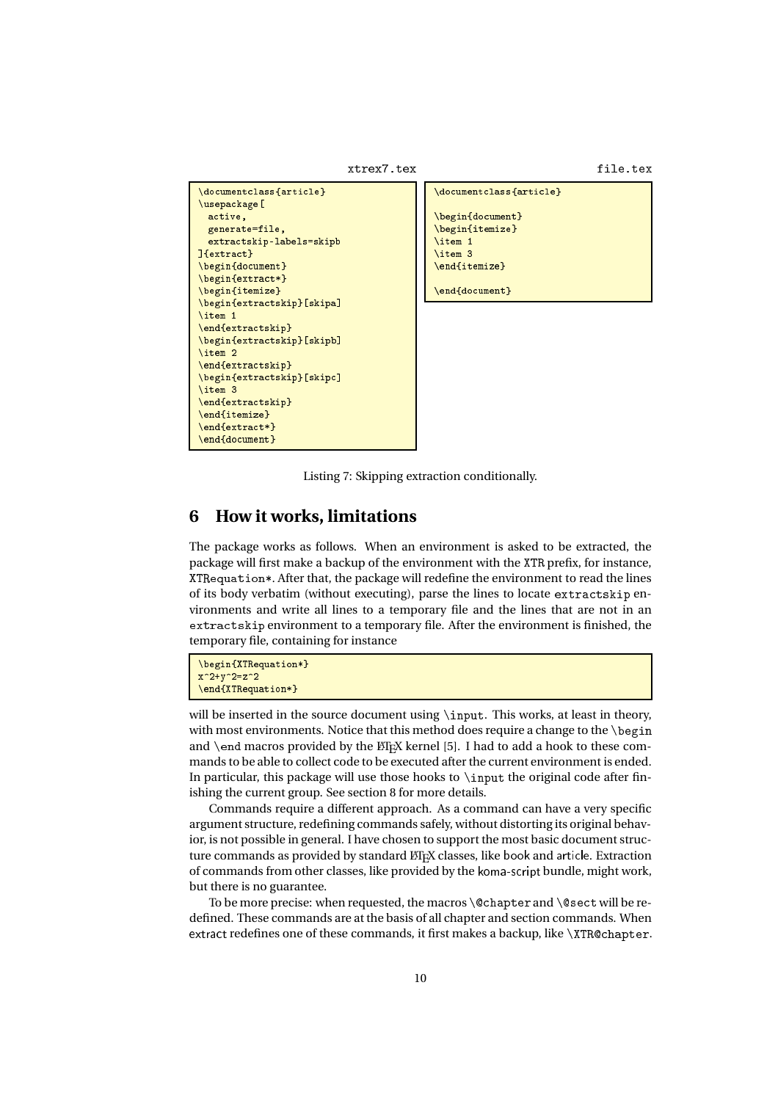```
xtrex7.tex
```
file.tex

```
\documentclass{article}
\usepackage[
 active,
  generate=file,
  extractskip-labels=skipb
]{extract}
\begin{document}
\begin{extract*}
\begin{itemize}
\begin{extractskip}[skipa]
\blacksquare\end{extractskip}
\begin{extractskip}[skipb]
\item 2
\end{extractskin}
\epsilon the contract of the contract \epsilon\begin{extractskip}[skipc]
\item 3
\end{extractskip}
\end{itemize}
\end{extract*}
\ddotsc the contract of \ddotsc\end{document}
```
\documentclass{article} \begin{document} \begin{itemize} \item 1  $\blacksquare$ \item <sup>3</sup> \end{itemize}

\end{document}

Listing 7: Skipping extraction conditionally.

## **6 How it works, limitations**

The package works as follows. When an environment is asked to be extracted, the package will first make a backup of the environment with the XTR prefix, for instance, XTRequation\*. After that, the package will redefine the environment to read the lines of its body verbatim (without executing), parse the lines to locate extractskip environments and write all lines to a temporary file and the lines that are not in an extractskip environment to a temporary file. After the environment is finished, the temporary file, containing for instance

```
\begin{XTRequation*}
\sim \sim \sim \sim\end{XTRequation*}
```
will be inserted in the source document using \input. This works, at least in theory, with most environments. Notice that this method does require a change to the  $\beta$ and \end macros provided by the  $\mathbb{M}$ <sub>F</sub>X kernel [5]. I had to add a hook to these commands to be able to collect code to be executed after the current environment is ended. In particular, this package will use those hooks to  $\infty$  the original code after finishing the current group. See section 8 for more details.

Commands require a different approach. As a command can have a very specific argument structure, redefining commands safely, without distorting its original behavior, is not possible in general. I have chosen to support the most basic document structure commands as provided by standard  $E$ F<sub>K</sub>X classes, like book and article. Extraction of commands from other classes, like provided by the koma-s
ript bundle, might work, but there is no guarantee.

To be more precise: when requested, the macros  $\@$  chapter and  $\@$  sect will be redefined. These commands are at the basis of all chapter and section commands. When extract redefines one of these commands, it first makes a backup, like \XTR@chapter.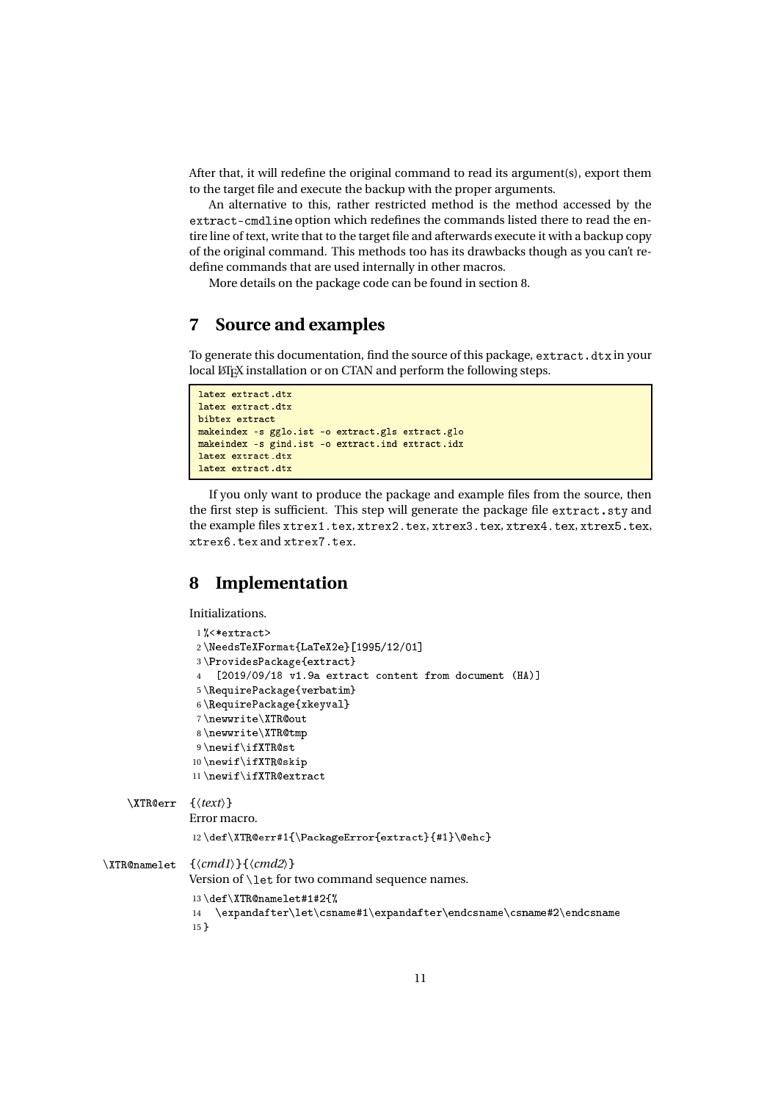After that, it will redefine the original command to read its argument(s), export them to the target file and execute the backup with the proper arguments.

An alternative to this, rather restricted method is the method accessed by the extract-cmdline option which redefines the commands listed there to read the entire line of text, write that to the target file and afterwards execute it with a backup copy of the original command. This methods too has its drawbacks though as you can't redefine commands that are used internally in other macros.

More details on the package code can be found in section 8.

## **7 Source and examples**

To generate this documentation, find the source of this package, extract. dtx in your local LATEX installation or on CTAN and perform the following steps.

```
latex extract.dtx
latex extract.dtx
bibtex extract
makeindex -s gglo.ist -o extract.gls extract.glo
makeindex -s gind.ist -o extract.ind extract.idx
latex extract.dtx
```
If you only want to produce the package and example files from the source, then the first step is sufficient. This step will generate the package file extract.sty and the example files xtrex1.tex, xtrex2.tex, xtrex3.tex, xtrex4.tex, xtrex5.tex, xtrex6.tex and xtrex7.tex.

## **8 Implementation**

Initializations.

```
1%<*extract>
                2\NeedsTeXFormat{LaTeX2e}[1995/12/01]3\ProvidesPackage{extract}
                4 [2019/09/18 v1.9a extract content from document (HA)]
                5 \RequirePa
kage{verbatim}
                6\RequirePackage{xkeyval}
                7 \newwrite\XTRout
                8 \neqwwriteXTRQtm9\newif\ifXTR@st
               10 \newif\ifXTR@skip
               11\newif\ifXTR@extract
    \XTRerr {〈text〉}
               Error macro.
               12\def\XTR@err#1{\PackageError{extract}{#1}\@ehc}
\XTR@namelet \ {\langle cmd1\rangle}{\langle cmd2\rangle}Version of \let for two command sequence names.
               13 \def \XTR@namelet\#1\#2{\%}14 \expandafter\let\csname#1\expandafter\endcsname\csname#2\endcsname
               15 }
```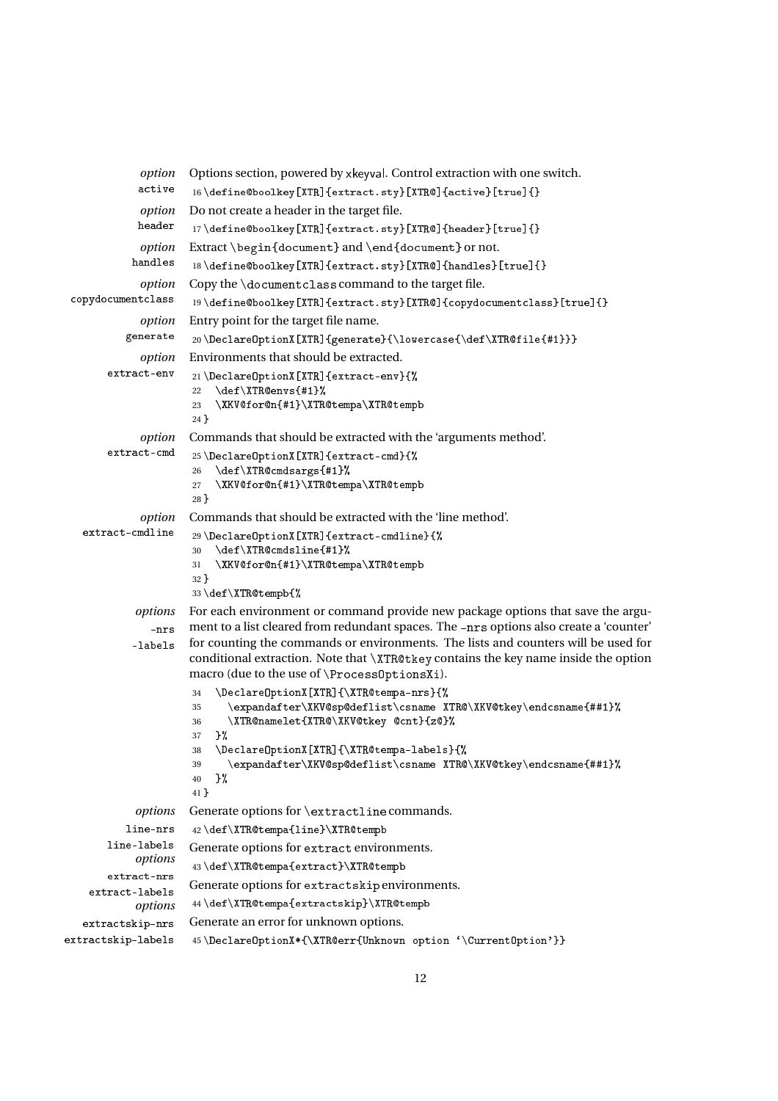```
option Options section, powered by xkeyval. Control extraction with one switch.
             active _{16 \text{the \texttt{W}}[XTR] \text{extract}.sty}[XTRQ]{active}[true]{}
             option Do not create a header in the target file.
             header _{17} \define@boolkey[XTR]{extract.sty}[XTR@]{header}[true]{}
             option Extract \begin{document} and \end{document} or not.
            handles 18\define@boolkey[XTR]{extract.sty}[XTR@]{handles}[true]{}
             option Copy the \documentclass command to the target file.
 copydocumentclass 19\define@boolkey[XTR]{extract.sty}[XTR@]{copydocumentclass}[true]{}
             option Entry point for the target file name.
          generate  20\DeclareOptionX[XTR]{generate}{\lowercase{\def\XTR@file{#1}}}
             option Environments that should be extracted.
       extract-env 21 \DeclareOptionX[XTR]{extract-env}{%
                      22 \def\XTR@envs{#1}%
                      23 \XKV@for@n{#1}\XTR@tempa\XTR@tempb
                      24 }
             option Commands that should be extracted with the 'arguments method'.
       \texttt{extract-cmd} 25\DeclareOptionX[XTR]{extract-cmd}{%
                      26 \def\XTR@cmdsargs{#1}%
                      27 \XKV@for@n{#1}\XTR@tempa\XTR@tempb
                      28 }
             option Commands that should be extracted with the 'line method'.
   extract-cmdline <br>
29 \Declare0ptionX[XTR]{extract-cmdline}{%
                      30 \def\XTR@cmdsline{#1}%
                      31 \XKV@for@n{#1}\XTR@tempa\XTR@tempb
                      32 }
                      33\def\XTR@tempb{%
            options For each environment or command provide new package options that save the argu-
                      ment to a list cleared from redundant spaces. The -nrs options also create a 'counter'
               nrsfor counting the commands or environments. The lists and counters will be used for
            -labels
                      conditional extraction. Note that \XTR@tkey contains the key name inside the option
                      macro (due to the use of \ProcessOptionsXi).
                      34 \DeclareOptionX[XTR]{\XTR@tempa-nrs}{%
                      35 \expandafter\XKV@sp@deflist\csname XTR@\XKV@tkey\endcsname{##1}%
                      36 \XTR@namelet{XTR@\XKV@tkey @cnt}{z@}%
                      37 \frac{\cancel{10}}{\cancel{6}}38 \DeclareOptionX[XTR]{\XTR@tempa-labels}{%
                      39 \expandafter\XKV@sp@deflist\csname XTR@\XKV@tkey\endcsname{##1}%
                      40 \frac{\cancel{10}}{\cancel{6}}41 }
            options Generate options for \extractline commands.
           line-nrs
                      42 \def\XTR@tempa{line}\XTR@tempbline-labels
                      Generate options for extract environments.
            options
                      43\def\XTR@tempa{extract}\XTR@tempb
       extract-nrs
                      Generate options for extractskip environments.
    extract-labels
                      44\def\XTR@tempa{extractskip}\XTR@tempb
            options
                      Generate an error for unknown options.
   extractskip-nrs
extractskip-labels
                      45\DeclareOptionX*{\XTR@err{Unknown option '\CurrentOption'}}
```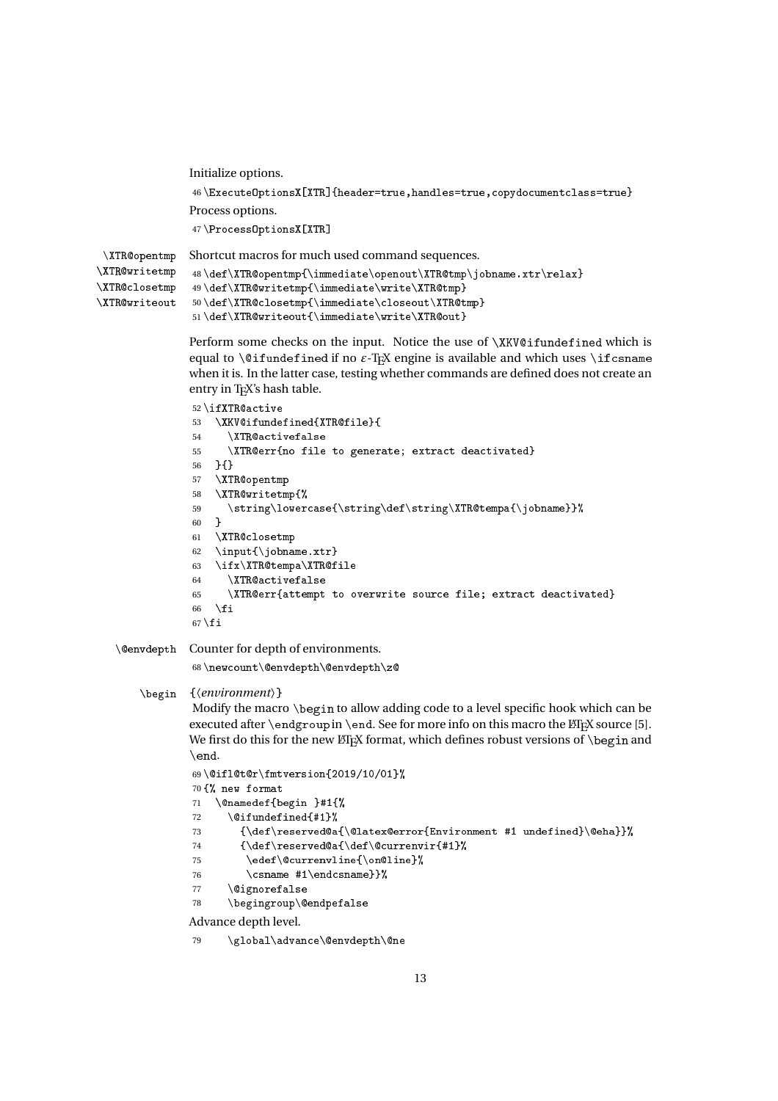```
Initialize options.
                46\ExecuteOptionsX[XTR]{header=true,handles=true,copydocumentclass=true}
               Process options.
                47\ProcessOptionsX[XTR]
\XTRopentmp
\XTR@writetmp
               Shortcut macros for much used command sequences.
                48\def\XTR@opentmp{\immediate\openout\XTR@tmp\jobname.xtr\relax}
```

```
\XTR@closetmp
\XTR@writeout
              49\def\XTR@writetmp{\immediate\write\XTR@tmp}
              50 \def \XTR@closetmp{\\imath\,}51\def\XTR@writeout{\immediate\write\XTR@out}
```
Perform some checks on the input. Notice the use of  $XKV@ifundefined$  which is equal to  $\Diamond$  if undefined if no  $\varepsilon$ -T<sub>E</sub>X engine is available and which uses  $\exists$  if csname when it is. In the latter case, testing whether commands are defined does not create an entry in TEX's hash table.

```
52\ifXTR@active
53 \XKV@ifundefined{XTR@file}{
54 \XTR@activefalse
55 \XTR@err{no file to generate; extract deactivated}
56 }{}
57 \XTR@opentmp
58 \XTR@writetmp{%
59 \string\lowercase{\string\def\string\XTR@tempa{\jobname}}%
60 }
61 \XTR@closetmp
62 \input{\jobname.xtr}
63 \ifx\XTR@tempa\XTR@file
64 \XTR@activefalse
65 \XTR@err{attempt to overwrite source file; extract deactivated}
66 \setminusfi
67 \fi
```
\envdepth Counter for depth of environments.

68\newcount\@envdepth\@envdepth\z@

```
\begin {〈environment〉}
```
Modify the macro \begin to allow adding code to a level specific hook which can be executed after  $\end{math}$ endgroup in  $\end{math}$ end. See for more info on this macro the  $\mathbb{F}$ FX source [5]. We first do this for the new ET<sub>E</sub>X format, which defines robust versions of  $\begin{bmatrix} \begin{array}{c} \begin{array}{c} \end{array} \end{bmatrix}$ \end.

```
69 \cdot 0ifl@t@r\fmtversion{2019/10/01}%
70 {% new format
71 \@namedef{begin }#1{%
72 \langle 0ifundefined{#1}%
73 {\def\}S {\def\reserved@a{\@latex@error{Environment #1 undefined}\@eha}}%
74 {\def\reserved@a{\def\@currenvir{#1}%
75 \edef\@currenvline{\on@line}%
76 \csname #1\endcsname}}%
77 \@ignorefalse
78 \begingroup\@endpefalse
Advance depth level.
```

```
79 \global\advance\@envdepth\@ne
```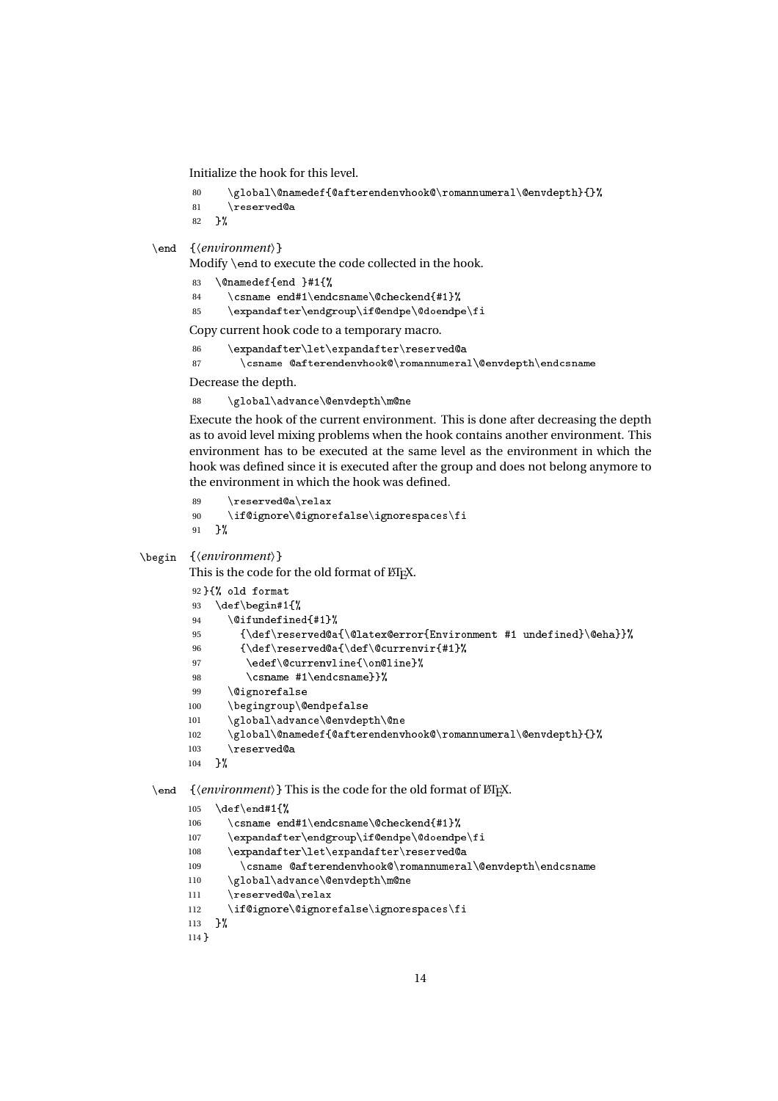Initialize the hook for this level.

```
80 \global\@namedef{@afterendenvhook@\romannumeral\@envdepth}{}%
81 \nVreserved@a
```
82 }%

```
\end {〈environment〉}
```
Modify \end to execute the code collected in the hook.

- 83 \@namedef{end }#1{%
- 84 \csname end#1\endcsname\@checkend{#1}%
- 85 \expandafter\endgroup\if@endpe\@doendpe\fi

Copy current hook code to a temporary macro.

```
86 \expandafter\let\expandafter\reserved@a
```

```
87 \csname @afterendenvhook@\romannumeral\@envdepth\endcsname
```
Decrease the depth.

88 \global\advance\@envdepth\m@ne

Execute the hook of the current environment. This is done after decreasing the depth as to avoid level mixing problems when the hook contains another environment. This environment has to be executed at the same level as the environment in which the hook was defined since it is executed after the group and does not belong anymore to the environment in which the hook was defined.

```
89 \reserved@a\relax
90 \if@ignore\@ignorefalse\ignorespaces\fi
91 }%
```
#### \begin {〈*environment*〉}

This is the code for the old format of ETEX.

```
92 }{% old format
93 \def\begin#1{%
94 \@ifundefined{#1}%
95 {\det\text{Qa}\{\text{Earor}\f\text{Environment #1 underined}\Qeha}}96 {\def\reserved@a{\def\@currenvir{#1}%
97 \edef\@currenvline{\on@line}%
98 \csname #1\endcsname}}%
99 \@ignorefalse
100 \begingroup\@endpefalse
101 \global\advance\@envdepth\@ne
102 \global\@namedef{@afterendenvhook@\romannumeral\@envdepth}{}%
103 \reserved@a
104 }%
```
### \end {*\environment*}} This is the code for the old format of LTFX.

```
105 \text{ \textdegree}106 \csname end#1\endcsname\@checkend{#1}%
107 \expandafter\endgroup\if@endpe\@doendpe\fi
108 \expandafter\let\expandafter\reserved@a
109 \csname @afterendenvhook@\romannumeral\@envdepth\endcsname
110 \global\advance\@envdepth\m@ne
111 \reserved@a\relax
112 \if@ignore\@ignorefalse\ignorespaces\fi
113 }%
114 }
```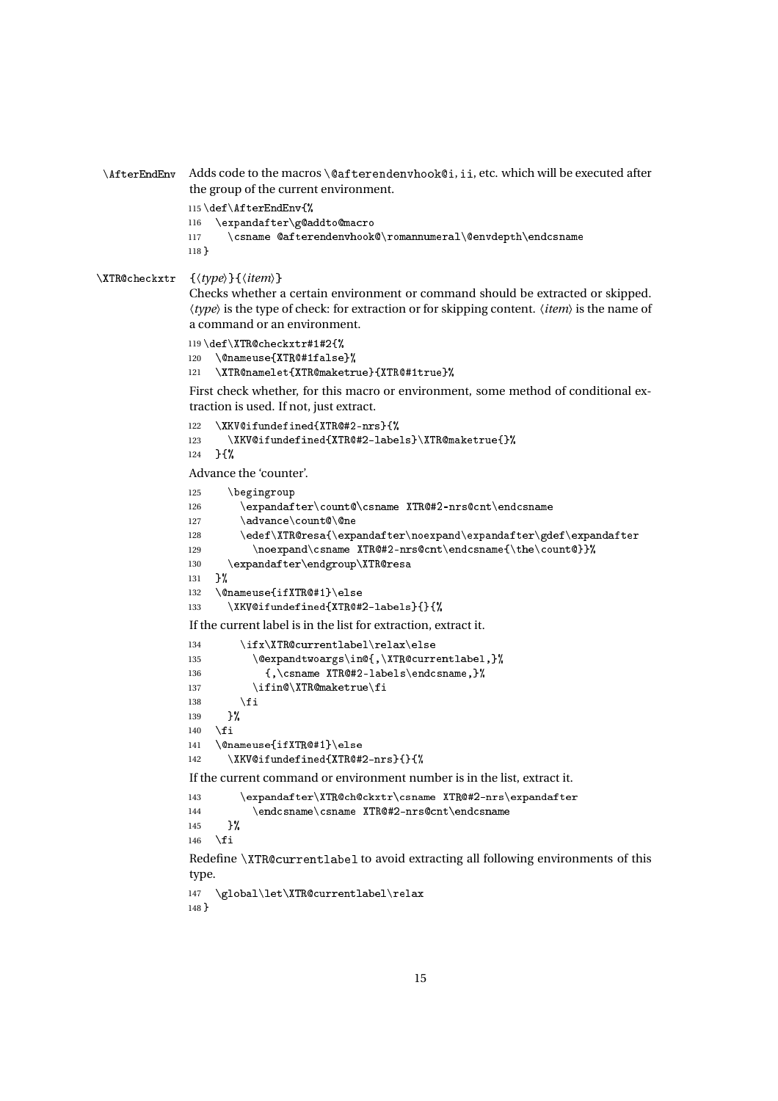```
\AfterEndEnv Adds code to the macros \@afterendenvhook@i, ii, etc. which will be executed after
               the group of the current environment.
```

```
115 \def\AfterEndEnv{%
116 \expandafter\g@addto@macro
117 \csname @afterendenvhook@\romannumeral\@envdepth\endcsname
118 }
```
#### \XTR
he
kxtr {〈*type*〉}{〈*item*〉}

Checks whether a certain environment or command should be extracted or skipped. 〈*type*〉 is the type of check: for extraction or for skipping content. 〈*item*〉 is the name of a command or an environment.

```
119 \def\XTR@checkxtr#1#2{%
120 \@nameuse{XTR@#1false}%
121 \XTR@namelet{XTR@maketrue}{XTR@#1true}%
```
First check whether, for this macro or environment, some method of conditional extraction is used. If not, just extract.

```
122 \XKV@ifundefined{XTR@#2-nrs}{%
123 \XKV@ifundefined{XTR@#2-labels}\XTR@maketrue{}%
124 } {%
```
Advance the 'counter'.

```
125 \begingroup
126 \expandafter\count@\csname XTR@#2-nrs@cnt\endcsname
127 \advance\count@\@ne
128 \edef\XTR@resa{\expandafter\noexpand\expandafter\gdef\expandafter
129 \noexpand\csname XTR@#2-nrs@cnt\endcsname{\the\count@}}%
130 \text{normaler}\end{group}\XTRQresa131 }%
132 \@nameuse{ifXTR@#1}\else
133 \XKV@ifundefined{XTR@#2-labels}{}{%
If the current label is in the list for extraction, extract it.
134 \ifx\XTR@currentlabel\relax\else
135 \@expandtwoargs\in@{,\XTR@currentlabel,}%
136 {, \csname XTR@#2-labels\endcsname, }%
137 \ifin@\\XTR@maketrue\\fi138 \qquad \qquad \text{If } i139 }%
140 \{fi141 \@nameuse{ifXTR@#1}\else
142 \chiKV@ifundefined{XTR@#2-nrs}{}{%
If the current command or environment number is in the list, extract it.
143 \expandafter\XTR@ch@ckxtr\csname XTR@#2-nrs\expandafter
144 \endcsname\csname XTR@#2-nrs@cnt\endcsname
145 }%
146 \fi
Redefine \XTR@currentlabel to avoid extracting all following environments of this
type.
147 \global\let\XTR@currentlabel\relax
148 }
```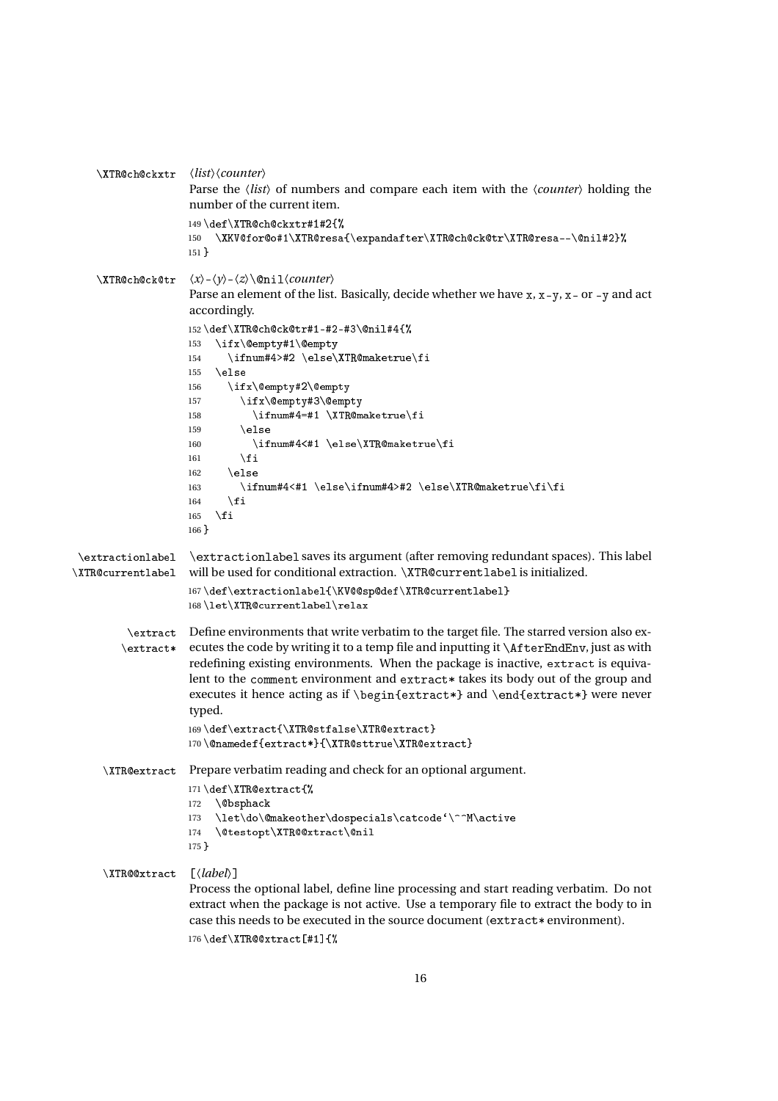```
\XTR
h
kxtr 〈list〉〈counter〉
                    Parse the 〈list〉 of numbers and compare each item with the 〈counter〉 holding the
                    number of the current item.
                    149\def\XTR@ch@ckxtr#1#2{%
                    150 \XKV@for@o#1\XTR@resa{\expandafter\XTR@ch@ck@tr\XTR@resa--\@nil#2}%
                    151 }
    \langleXTR@ch@ck@tr \langle x \rangle - \langle y \rangle - \langle z \rangle \langle 0nil\langle counter \rangleParse an element of the list. Basically, decide whether we have x, x-y, x- or -y and act
                    accordingly.
                    152\def\XTR@ch@ck@tr#1-#2-#3\@nil#4{%
                    153 \ifx\empty#1\empty
                    154 \ifnum#4>#2 \else\XTR@maketrue\fi
                    155 \else
                    156 \iint x\@p{+}y\#2\@emp{t}y157 \ifx\@empty#3\@empty
                    158 \ifnum#4=#1 \XTR@maketrue\fi
                    159 \else
                    160 \ifnum#4<#1 \else\XTR@maketrue\fi
                    161 \quad \text{if } i162 \else
                    163 \ifnum#4<#1 \else\ifnum#4>#2 \else\XTR@maketrue\fi\fi
                    164 \fi
                    165 \quad \text{If}166 }
\extractionlabel
\XTR@currentlabel
                    \extra
tionlabel saves its argument (after removing redundant spaces). This label
                    will be used for conditional extraction. \XTR@currentlabel is initialized.
                    167\def\extractionlabel{\KV@@sp@def\XTR@currentlabel}
                    168\let\XTR@currentlabel\relax
         \extra
t
Define environments that write verbatim to the target file. The starred version also ex-
        \text{text*}ecutes the code by writing it to a temp file and inputting it \AfterEndEnv, just as with
                    redefining existing environments. When the package is inactive, extract is equiva-
                    lent to the comment environment and extract* takes its body out of the group and
                    executes it hence acting as if \begin{extract*} and \end{extract*} were never
                    typed.
                    169\def\extract{\XTR@stfalse\XTR@extract}
                    170\@namedef{extract*}{\XTR@sttrue\XTR@extract}
     \XTRextra
t Prepare verbatim reading and check for an optional argument.
                    171\def\XTR@extract{%
                    172 \@bsphack
                    173 \let\do\@makeother\dospecials\catcode'\^^M\active
                    174 \@testopt\XTR@@xtract\@nil
                    175 }
     \XTR@@xtract [\label}]
                    Process the optional label, define line processing and start reading verbatim. Do not
                    extract when the package is not active. Use a temporary file to extract the body to in
                    case this needs to be executed in the source document (extract* environment).
                    176 \cdot \text{def} \times \text{TRQQxtract} [#1]{%
```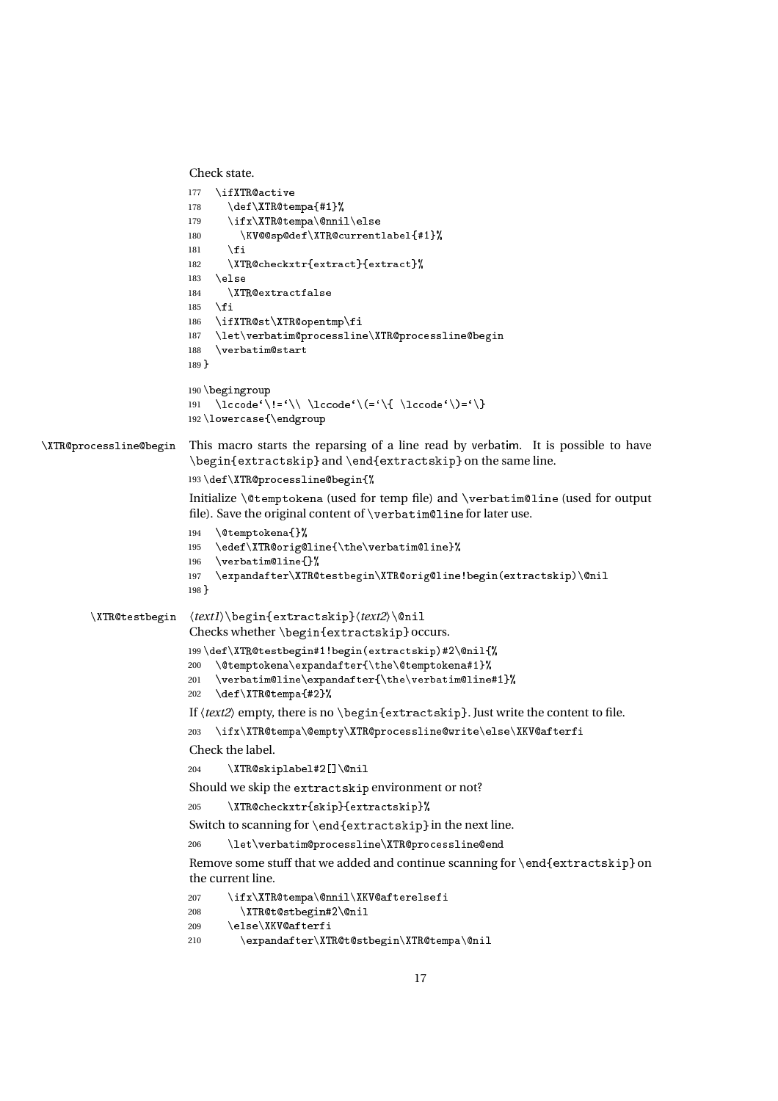```
Check state.
```

```
177 \ifXTR@active
                         178 \def\XTR@tempa{#1}%
                        179 \ifx\XTR@tempa\@nnil\else
                         180 \KV@@sp@def\XTR@currentlabel{#1}%
                         181 \quad \text{If} \quad182 \XTR@checkxtr{extract}{extract}%
                        183 \else
                        184 \XTR@extractfalse
                        185 \fi
                        186 \ifXTR@st\XTR@opentmp\fi
                        187 \let\verbatim@processline\XTR@processline@begin
                        188 \verbatim@start
                        189 }
                        190 \begingroup
                         191 \lccode'\!='\\ \lccode'\(='\{ \lccode'\)='\}
                         192 \lower
ase{\endgroup
\XTR@processline@begin This macro starts the reparsing of a line read by verbatim. It is possible to have
                         \begin{extra
tskip} and \end{extra
tskip} on the same line.
                         193\def\XTR@processline@begin{%
                         Initialize \@temptokena (used for temp file) and \verbatim@line (used for output
                         file). Save the original content of \verb|\verbatim@line for later use.194 \@temptokena{}%
                         195 \edef\XTR@orig@line{\the\verbatim@line}%
                         196 \vert verbatim@line{}%
                         197 \expandafter\XTR@testbegin\XTR@orig@line!begin(extractskip)\@nil
                        198 }
        \XTR@testbegin \text1}\begin{extractskip}\/text2}\@nil
                         Checks whether \begin{extractskip} occurs.
                         199\def\XTR@testbegin#1!begin(extractskip)#2\@nil{%
                        200 \@temptokena\expandafter{\the\@temptokena#1}%
                        201 \verbatim@line\expandafter{\the\verbatim@line#1}%
                        202 \ \text{def}\T{Retempa{#2}}If \text{2} empty, there is no \begin{extractskip}. Just write the content to file.
                        203 \ifx\XTR@tempa\@empty\XTR@processline@write\else\XKV@afterfi
                         Check the label.
                        204 \chiTR@skiplabel#2[]\mathcal{L}Should we skip the extractskip environment or not?
                        205 \XTR@checkxtr{skip}{extractskip}%
                         Switch to scanning for \end{math} (extractskip) in the next line.
                        206 \let\verbatim@processline\XTR@processline@end
                         Remove some stuff that we added and continue scanning for \end{array}end{extractskip} on
                         the current line.
                        207 \ifx\XTR@tempa\@nnil\XKV@afterelsefi
                        208 \XTR@t@stbegin#2\@nil
                        209 \else\XKV@afterfi
                        210 \expandafter\XTR@t@stbegin\XTR@tempa\@nil
```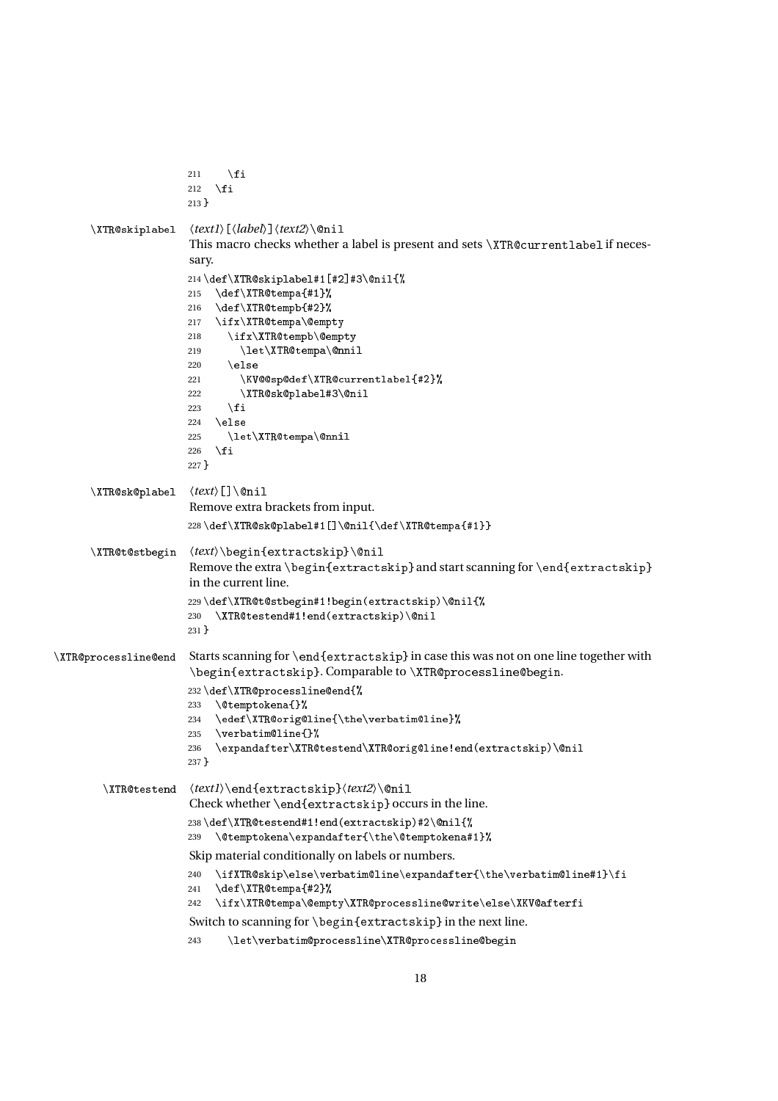```
211 \fi
                       212 \setminusfi
                       213 }
      \langle XTR@skip\text{l}abe1 \quad \langle text1\rangle[\langle label\rangle]\langle text2\rangle\langle\text{0nil}This macro checks whether a label is present and sets \XTR@currentlabel if neces-
                       sary.
                       214 \def\XTR@skipable1#1[#2]#3\@ni1{\%}215 \def\XTR@tempa{#1}%
                       216 \def\XTR@tempb{#2}%
                       217 \ifx\XTR@tempa\@empty
                       218 \ifx\XTR@tempb\@empty
                       219 \left\{\XTR@tempa\@nnil\right\}220 \else
                       221 \KV@@sp@def\XTR@currentlabel{#2}%
                       222 \XTR@sk@plabel#3\@nil
                       223 \setminusfi
                       224 \else
                       225 \let\XTR@tempa\@nnil
                       226 \setminusfi
                       227 }
      \XTR@sk@plabel \langle text \rangle[]\@nil
                        Remove extra brackets from input.
                       228 \def\XTR@sk@plabel#1[\]\@ni1{\\def\XTR@tempa{#1}}\XTR@t@stbegin \text>\begin{extractskip}\@nil
                       Remove the extra \begin{extractskip} and start scanning for \end{extractskip}
                       in the current line.
                       229\def\XTR@t@stbegin#1!begin(extractskip)\@nil{%
                       230 \XTR@testend#1!end(extractskip)\@nil
                       231 }
\XTR@processline@end Starts scanning for \end{extractskip} in case this was not on one line together with
                       \begin{extractskip}. Comparable to \XTR@processline@begin.
                       232\def\XTR@processline@end{%
                       233 \@temptokena{}%
                       234 \edef\XTR@orig@line{\the\verbatim@line}%
                       235 \vert verbatim@line{}%
                       236 \expandafter\XTR@testend\XTR@orig@line!end(extractskip)\@nil
                       237 }
        \XTR@testend \text1}\end{extractskip}\text2}\@nil
                       Check whether \end{extractskip} occurs in the line.
                       238\def\XTR@testend#1!end(extractskip)#2\@nil{%
                       239 \@temptokena\expandafter{\the\@temptokena#1}%
                       Skip material conditionally on labels or numbers.
                       240 \ifXTR@skip\else\verbatim@line\expandafter{\the\verbatim@line#1}\fi
                       241 \def\XTR@tempa{#2}%
                       242 \ifx\XTR@tempa\@empty\XTR@processline@write\else\XKV@afterfi
                       Switch to scanning for \begin{extractskip} in the next line.
                       243 \let\verbatim@processline\XTR@processline@begin
```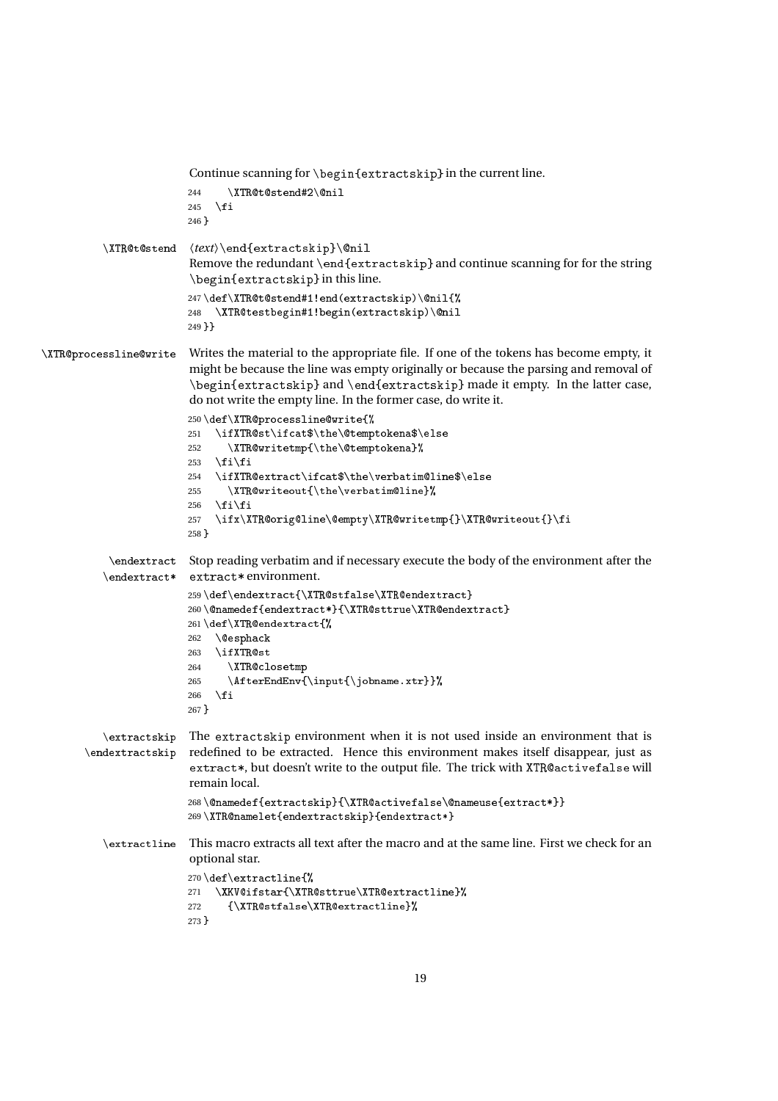```
Continue scanning for \begin{extractskip} in the current line.
                         244 \chiTR@t@stend#2\@nil
                         245 \setminusfi
                         246 }
          \XTR@t@stend \text}\end{extractskip}\@nil
                         Remove the redundant \end{extra
tskip} and continue scanning for for the string
                          \begin{extra
tskip} in this line.
                         247\def\XTR@t@stend#1!end(extractskip)\@nil{%
                         248 \XTR@testbegin#1!begin(extractskip)\@nil
                         249 }}
\XTR@processline@write Writes the material to the appropriate file. If one of the tokens has become empty, it
                          might be because the line was empty originally or because the parsing and removal of
                          \begin{extra
tskip} and \end{extra
tskip} made it empty. In the latter case,
                          do not write the empty line. In the former case, do write it.
                         250\def\XTR@processline@write{%
                         251 \ifXTR@st\ifcat$\the\@temptokena$\else
                         252 \XTR@writetmp{\the\@temptokena}%
                         253 \if{ifi}254 \ifXTR@extract\ifcat$\the\verbatim@line$\else
                         255 \XTR@writeout{\the\verbatim@line}%
                         256 \ifmmode \text{ififi}\else 256 \fi \filml{ilmptatifilm}}
                         257 \ifx\XTR@orig@line\@empty\XTR@writetmp{}\XTR@writeout{}\fi
                         258 }
            \endextra
t
Stop reading verbatim and if necessary execute the body of the environment after the
           \endextract* extract* environment.
                         259\def\endextract{\XTR@stfalse\XTR@endextract}
                         260\@namedef{endextract*}{\XTR@sttrue\XTR@endextract}
                         261\def\XTR@endextract{%
                         262 \@esphack
                         263 \ifXTR@st
                         264 \XTR@closetmp
                         265 \AfterEndEnv{\input{\jobname.xtr}}%
                         266 \setminusfi
                         267 }
           \extra
tskip
The extra
tskip environment when it is not used inside an environment that is
       \endextractskip
                         redefined to be extracted. Hence this environment makes itself disappear, just as
                          extract*, but doesn't write to the output file. The trick with XTR@activefalse will
                         remain local.
                         268\@namedef{extractskip}{\XTR@activefalse\@nameuse{extract*}}
                         269\XTR@namelet{endextractskip}{endextract*}
          \extra
tline This macro extracts all text after the macro and at the same line. First we check for an
                         optional star.
                         270\def\extractline{%
                         271 \XKV@ifstar{\XTR@sttrue\XTR@extractline}%
                         272 {\XTR@stfalse\XTR@extractline}%
                         273 }
```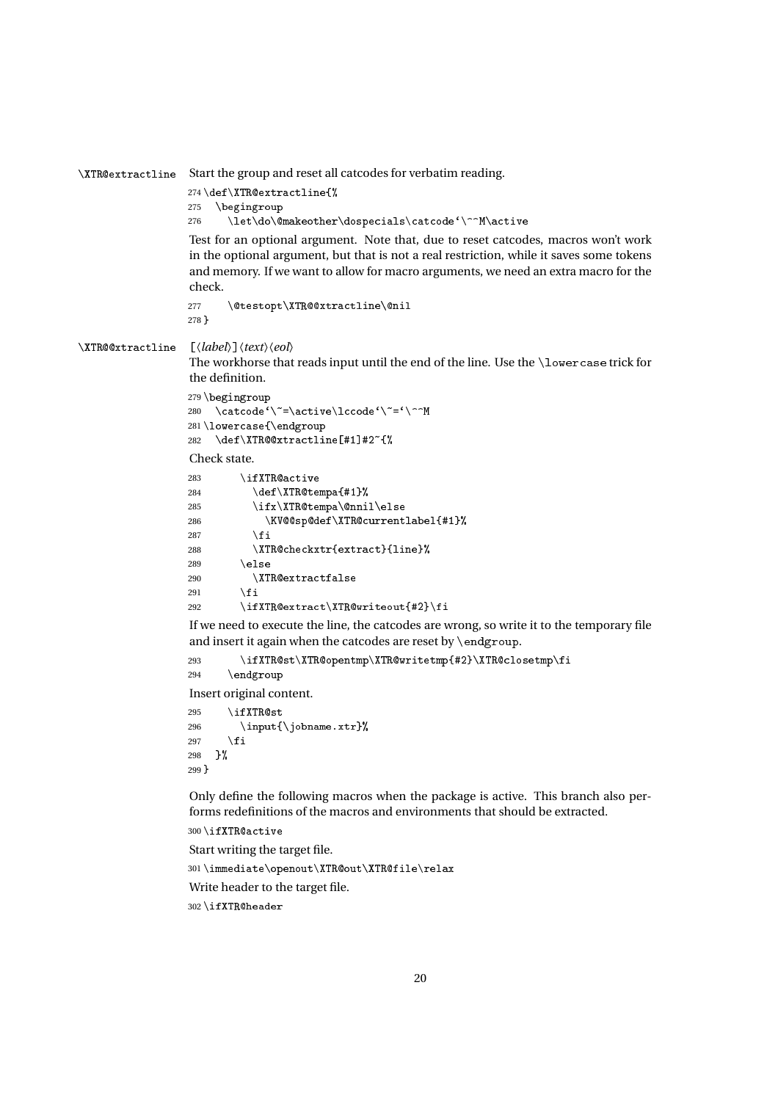\XTRextra
tline Start the group and reset all catcodes for verbatim reading.

```
274 \def\XTR@extractline{%
275 \begingroup
```
276 \let\do\@makeother\dospecials\catcode'\^^M\active

Test for an optional argument. Note that, due to reset catcodes, macros won't work in the optional argument, but that is not a real restriction, while it saves some tokens and memory. If we want to allow for macro arguments, we need an extra macro for the check.

```
277 \@testopt\XTR@@xtractline\@nil
278 }
```
#### \XTR@@xtractline [\*label*}]\\text\\eol\

The workhorse that reads input until the end of the line. Use the \lowercase trick for the definition.

```
279 \begingroup
280 \catcode'\"=\active\lccode'\"='\^^M
281 \lower
ase{\endgroup
282 \def\XTR@@xtractline[#1]#2~{%
```
Check state.

```
283 \ifXTR@active
284 \text{CF}\xR@tempa{#1}285 \ifx\XTR@tempa\@nnil\else286 \KV@@sp@def\XTR@currentlabel{#1}%
287 \qquad \qquad \fi
288 \XTR@checkxtr{extract}{line}%
289 \text{else}290 \XTR@extractfalse
291 \qquad \qquad \fi
292 \ifXTR@extract\XTR@writeout{#2}\fi
```
If we need to execute the line, the catcodes are wrong, so write it to the temporary file and insert it again when the catcodes are reset by  $\end{math}$ endgroup.

293 \ifXTR@st\XTR@opentmp\XTR@writetmp{#2}\XTR@closetmp\fi 294 \endgroup

Insert original content.

 $295$  \ifXTR@st 296 \input{\jobname.xtr}% 297  $\forall$ fi 298 }% 299 }

Only define the following macros when the package is active. This branch also performs redefinitions of the macros and environments that should be extracted.

```
300\ifXTR@active
```

```
Start writing the target file.
```
 $301 \times$  diate\openout\XTR@out\XTR@file\relax

Write header to the target file.

 $302$  \ifXTR@header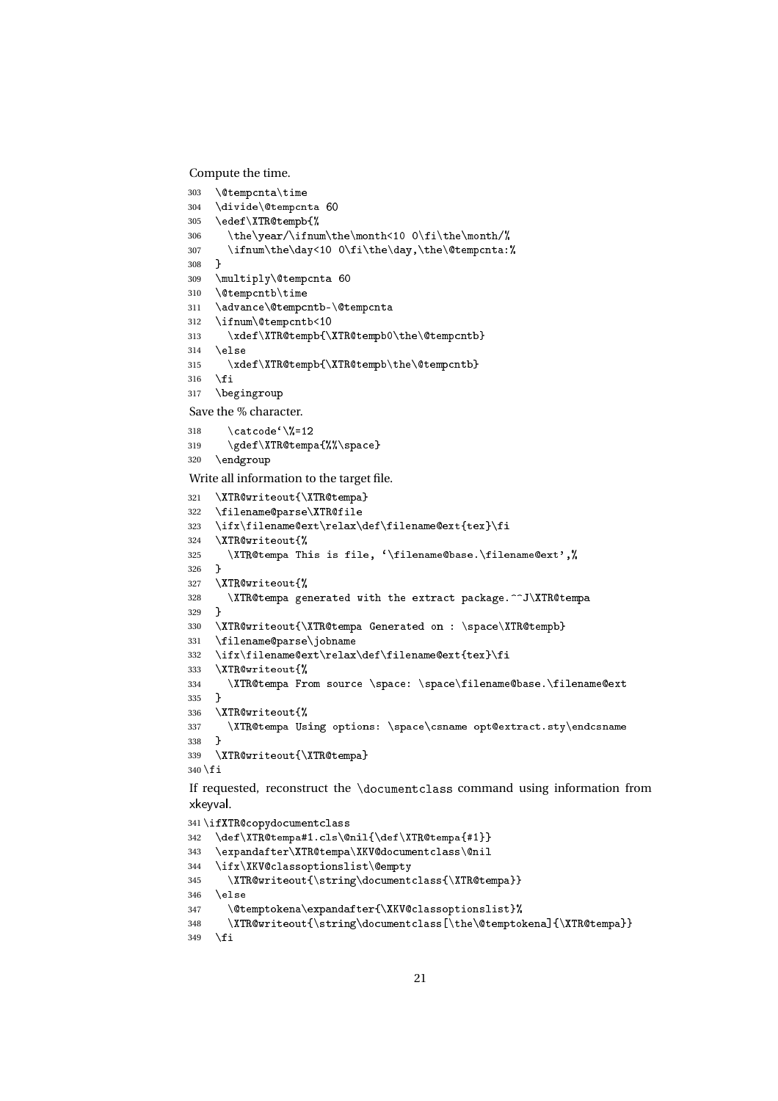Compute the time.

```
303 \@tempcnta\time
304 \divide\@tempcnta 60
305 \ \text{def}\XTR@tempb{%
306 \the\year/\ifnum\the\month<10 0\fi\the\month/%
307 \ifnum\the\day<10 0\fi\the\day,\the\@tempcnta:%
308 }
309 \multiply\@tempcnta 60
310 \@tempcntb\time
311 \advance\@tempcntb-\@tempcnta
312 \ifnum\@tempcntb<10
313 \xdef\XTR@tempb{\XTR@tempb0\the\@tempcntb}
314 \else
315 \xdef\XTR@tempb{\XTR@tempb\the\@tempcntb}
316 \fi
317 \begingroup
Save the % character.
318 \qquad \text{categorical}<sup>{</sup>\sqrt{2}=12}
319 \gdef\XTR@tempa{%%\space}
320 \endgroup
Write all information to the target file.
321 \XTRQwriteout{\XTRQtempa}322 \filename@parse\XTR@file
323 \ifx\filename@ext\relax\def\filename@ext{tex}\fi
324 \XTR@writeout{%
325 \XTR@tempa This is file, '\filename@base.\filename@ext',%
326 }
327 \XTR@writeout{%
328 \XTR@tempa generated with the extract package.^^J\XTR@tempa
329 }
330 \XTR@writeout{\XTR@tempa Generated on : \space\XTR@tempb}
331 \filename@parse\jobname
332 \ifx\filename@ext\relax\def\filename@ext{tex}\fi
333 \XTR@writeout{%
334 \XTR@tempa From source \space: \space\filename@base.\filename@ext
335 }
336 \XTR@writeout{%
337 \XTR@tempa Using options: \space\csname opt@extract.sty\endcsname
338 }
339 \XTR@writeout{\XTR@tempa}
340 \fi
If requested, reconstruct the \do
ument
lass command using information from
xkeyval.
341 \ifXTR@copydocumentclass
342 \def\XTR@tempa#1.cls\@nil{\def\XTR@tempa{#1}}
343 \expandafter\XTR@tempa\XKV@documentclass\@nil
344 \ifx\XKV@classoptionslist\@empty
```

```
345 \XTR@writeout{\string\documentclass{\XTR@tempa}}
```

```
346 \else
```

```
347 \@temptokena\expandafter{\XKV@classoptionslist}%
```

```
348 \XTR@writeout{\string\documentclass[\the\@temptokena]{\XTR@tempa}}
349 \{f\}
```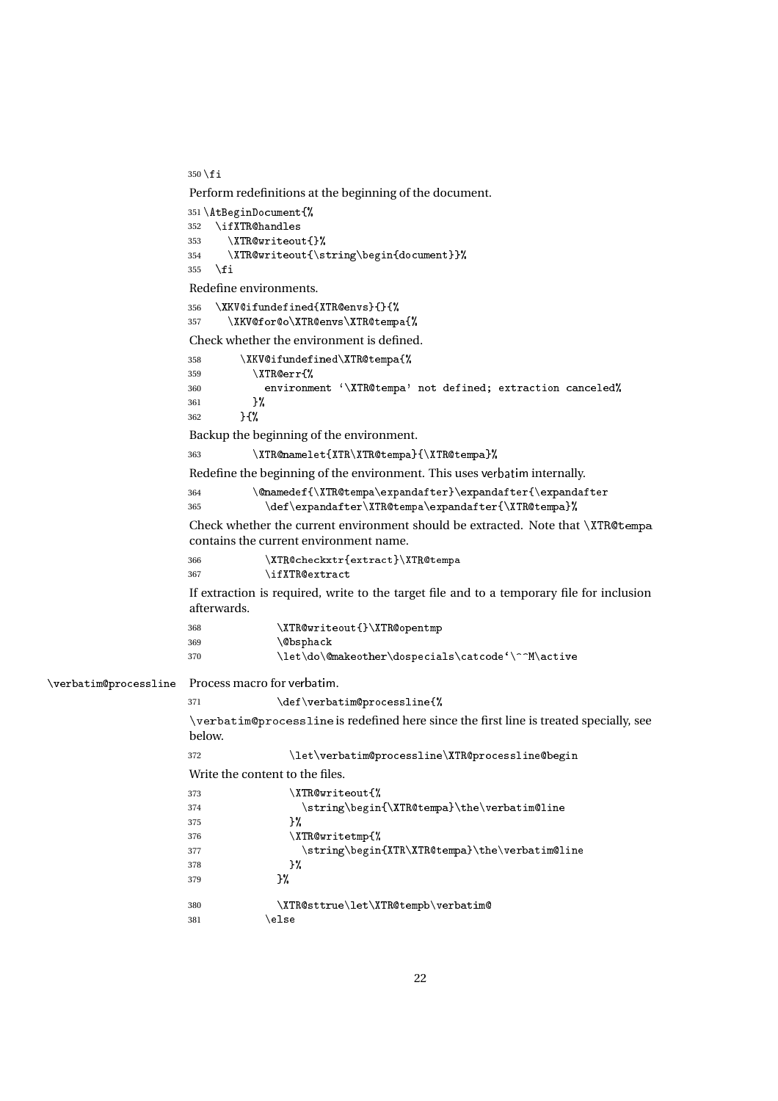$350$  \fi

Perform redefinitions at the beginning of the document.

```
351\AtBeginDocument{%
                         352 \ifXTR@handles
                         353 \XTR@writeout{}%
                         354 \XTR@writeout{\string\begin{document}}%
                         355 \quad \text{if}Redefine environments.
                         356 \XKV@ifundefined{XTR@envs}{}{%
                         357 \XKV@for@o\XTR@envs\XTR@tempa{%
                         Check whether the environment is defined.
                         358 \chiKV@ifundefined\XTR@tempa{%
                         359 \XTRerr{%
                         360 environment '\XTR@tempa' not defined; extraction canceled%
                         361 }%
                         362 }{%
                         Backup the beginning of the environment.
                         363 \XTR@namelet{XTR\XTR@tempa}{\XTR@tempa}%
                         Redefine the beginning of the environment. This uses verbatim internally.
                         364 \\enamedef{\XTR@tempa\expandafter}\expandafter{\expandafter}
                         365 \det\text{argandafter}\XTR@tempa\expandafter\XTR@tempaCheck whether the current environment should be extracted. Note that \XTR@tempacontains the current environment name.
                         366 \XTR@checkxtr{extract}\XTR@tempa
                         367 \ifXTR@extract
                         If extraction is required, write to the target file and to a temporary file for inclusion
                         afterwards.
                         368 \XTR@writeout{}\XTR@opentmp
                         369 \\@bsphack
                         370 \let\do\@makeother\dospecials\catcode'\^^M\active
\verbatimpro
essline Process macro for verbatim.
                         371 \def\verbatim@processline{%
                         \verbatimpro
essline is redefined here since the first line is treated specially, see
                         below.
                         372 \let\verbatim@processline\XTR@processline@begin
                         Write the content to the files.
                         373 \XTR@writeout{%
                         374 \strut \text{string\begin{tikzm@tim@t} the \verb|\verbatim@line| \end{tikzm@tim@line| \end{tikzm@tim@line| \end{tikzm@line| \end{tikzm@line| \end{tikzm@line| \end{tikzm@line| \end{tikzm@line| \end{tikzm@line| \end{tikzm@line| \end{tikzm@line| \end{tikzm@line| \end{tikzm@line| \end{tikzm@line| \end{tikzm@line| \end{tikzm@line| \end{tikzm@line| \end{tikzm@line| \end{tikzm375 }%
                         376 \XTR@writetmp{%
                         377 \string\begin{XTR\XTR@tempa}\the\verbatim@line
                         378 }%
                         379 }%
                         380 \XTR@sttrue\let\XTR@tempb\verbatim@
                         381 \else
```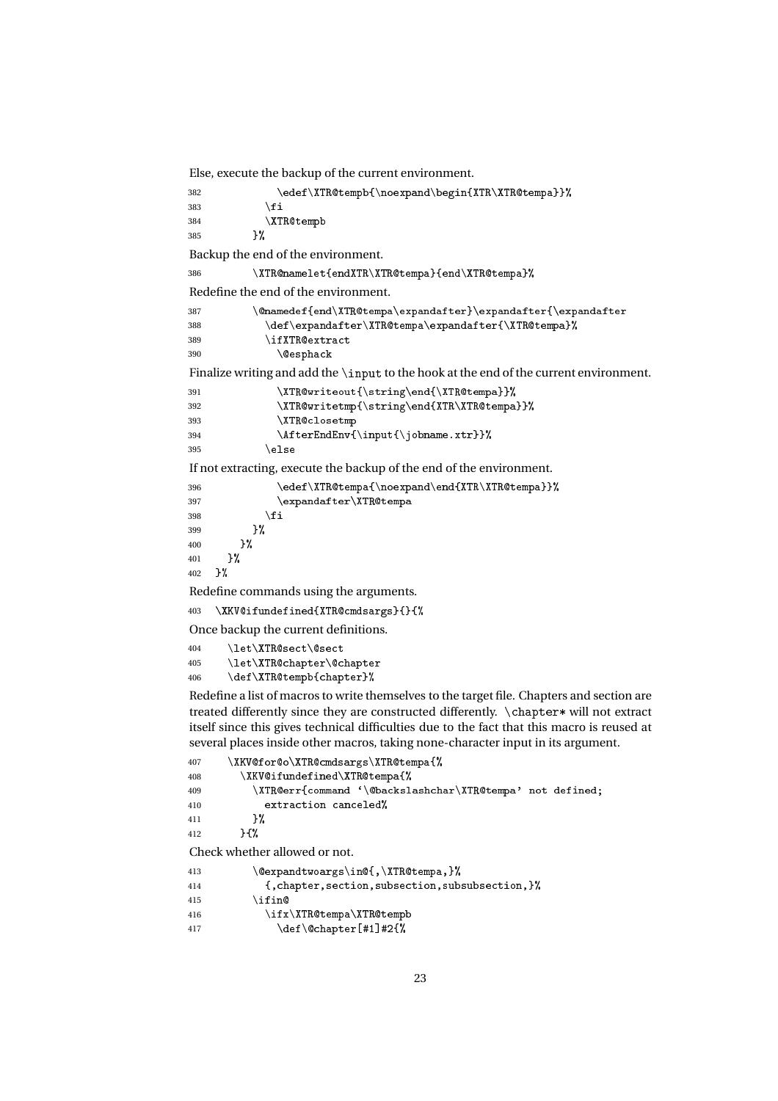Else, execute the backup of the current environment.

```
382 \edef\XTR@tempb{\noexpand\begin{XTR\XTR@tempa}}%
383 \qquad \qquad \qquad \fi
384 \XTR@tempb
385 }%
Backup the end of the environment.
386 \XTR@namelet{endXTR@tempa}{endXTR@tempa}Redefine the end of the environment.
387 \hspace{20pt} \label{cor:main} $$387 \Omega\delta_{\end\XTR@tempa\expandafter}\expandafter\expandafter388 \det\text{argandafter}\XTR@tempa\expandafter\\XTR@tempa389 \ifXTR@extract
390 \@esphack
Finalize writing and add the \input to the hook at the end of the current environment.
391 \XTR@writeout{\string\end{\XTR@tempa}}%
392 \XTR@writetmp{\string\end{XTR\XTR@tempa}}%
393 \XTR@closetmp
394 \AfterEndEnv{\input{\jobname.xtr}}%
395 \text{le}If not extracting, execute the backup of the end of the environment.
396 \edef\XTR@tempa{\noexpand\end{XTR\XTR@tempa}}%
397 \text{normal} \398 \quad \text{if} \quad \text{if} \quad \text{if} \quad \text{if} \quad \text{if} \quad \text{if} \quad \text{if} \quad \text{if} \quad \text{if} \quad \text{if} \quad \text{if} \quad \text{if} \quad \text{if} \quad \text{if} \quad \text{if} \quad \text{if} \quad \text{if} \quad \text{if} \quad \text{if} \quad \text{if} \quad \text{if} \quad \text{if} \quad \text{if} \quad \text{if} \quad \text{if} \quad \text{if} \quad \text{if} \quad \text{if} \quad \text{if} \quad \text{if} \quad \text{if}399 } ?
400 }%
401 {}^{401}402 \frac{\cancel{0}^2}{\cancel{0}^2}Redefine commands using the arguments.
403 \XKV@ifundefined{XTR@cmdsargs}{}{%
Once backup the current definitions.
404 \let\XTR@sect\@sect
405 \let\XTR@chapter\@chapter
406 \def\XTR@tempb{chapter}%
Redefine a list of macros to write themselves to the target file. Chapters and section are
treated differently since they are constructed differently. \
hapter* will not extract
itself since this gives technical difficulties due to the fact that this macro is reused at
several places inside other macros, taking none-character input in its argument.
407 \XKV@for@o\XTR@cmdsargs\XTR@tempa{%
408 \chiKV@ifundefined\XTR@tempa{%
409 \XTR@err{command '\@backslashchar\XTR@tempa' not defined;
410 extraction canceled%
411 }%
412 }{%
Check whether allowed or not.
413 \text{Qexpandtwoargs}\in{\text{NTRQtempa}}414 {,
hapter,se
tion,subse
tion,subsubse
tion,}%
415 \iint416 \ifx\XTR@tempa\XTR@tempb417 \det\text{Center}[\#1]\#2{\%}
```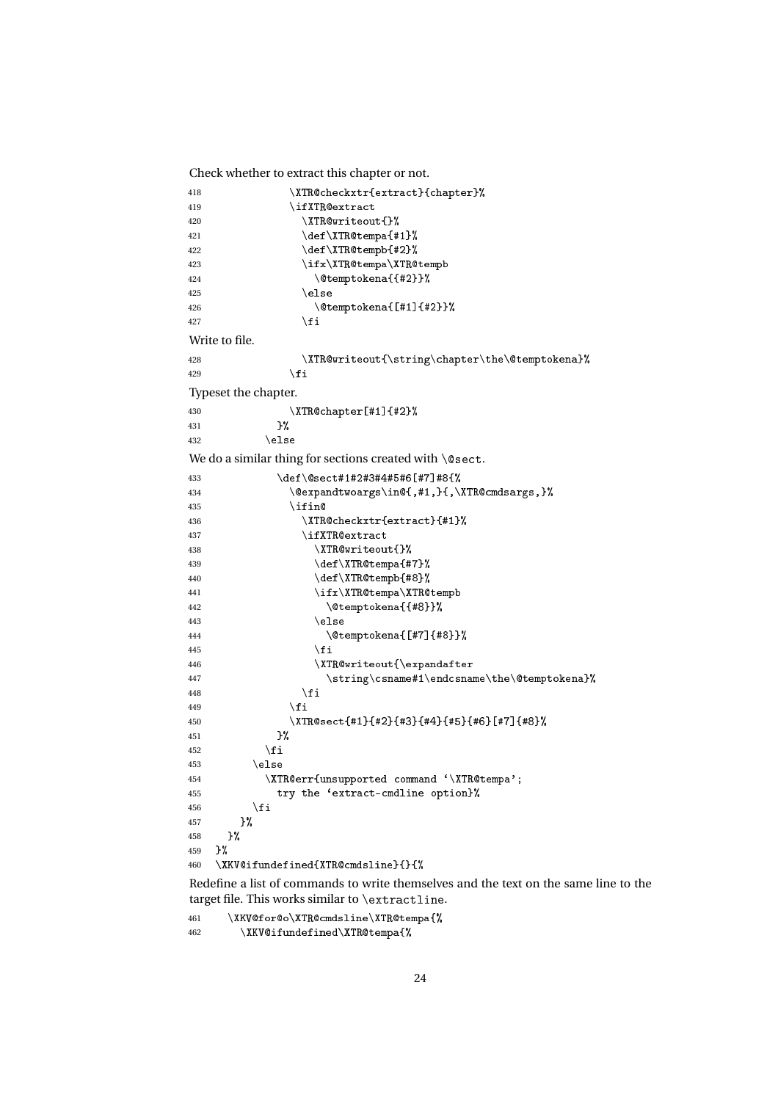Check whether to extract this chapter or not.

```
418 \XTR
he
kxtr{extra
t}{
hapter}%
419 \ifXTR@extract
420 \chiTR@writeout{}%
421 \det\{\Theta\422 \text{def}\TR@tempb{#2}%
423 \if x \XTR@tempa \XTR@tempb424 \temptokena{{#2}}%
425 \else
426 \text{Utemptokena}{[#1]{#2}}
427 \quad \text{if}Write to file.
428 \XTR@writeout{\string\chapter\the\@temptokena}%
429 \qquad \qquad \int fi
Typeset the chapter.
430 \XTR@chapter[#1]{#2}%
431 }%
432 \else
We do a similar thing for sections created with \text{Qsect}.433 \def\@sect#1#2#3#4#5#6[#7]#8{%
434 \@expandtwoargs\in@{,#1,}{,\XTR@cmdsargs,}%
435 \ifin@
436 \XTR@checkxtr{extract}{#1}%
437 \ifXTR@extract
438 \chiTR@writeout{}%
439 \det\{\Tilde{X}\440 \det\XTR@tempb{\#8}\%441 \if x \XTR@tempa \XTR@tempb442 \text{Uemptoken}({#8})443 \else
444 \text{Utemptokena} \{ [#7] {\#8} \}445 \quad \text{If}446 \chiTR@writeout{\expandafter
447 \string\csname#1\endcsname\the\@temptokena}%
448 \qquad \qquad \setminus \texttt{fi}449 \qquad \qquad \setminus \texttt{fi}450 \XTR@sect{#1}{#2}{#3}{#4}{#5}{#6}[#7]{#8}%
451 }%
452 \qquad \qquad \int f i
453 \else
454 \XTR@err{unsupported command '\XTR@tempa';
455 try the 'extract-cmdline option}%
456 \qquad \qquad \int fi
457 }%
458 }%
459 }%
460 \XKV@ifundefined{XTR@cmdsline}{}{%
```
Redefine a list of commands to write themselves and the text on the same line to the target file. This works similar to  $\exists$  extractline.

461 \XKV@for@o\XTR@cmdsline\XTR@tempa{%  $462$   $\chi$ KV@ifundefined\XTR@tempa{%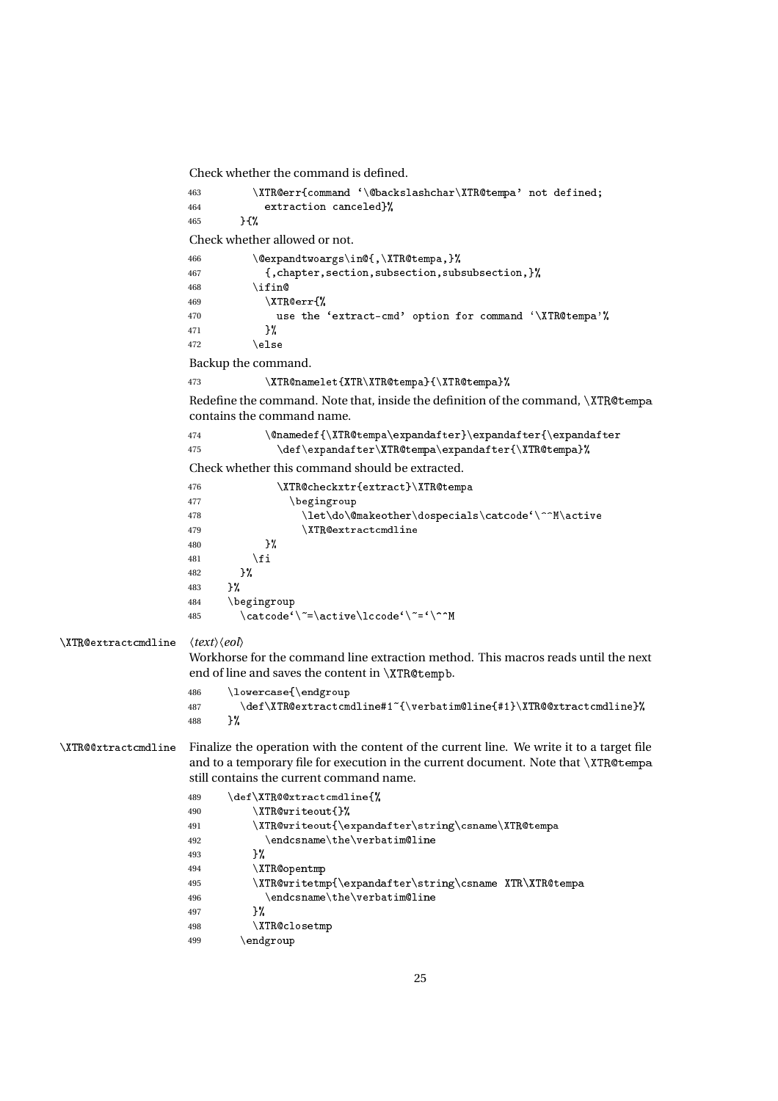```
Check whether the command is defined.
```

```
463 \XTR@err{command '\@backslashchar\XTR@tempa' not defined;
                  464 extraction canceled ?!
                  465 }{%
                  Check whether allowed or not.
                  466 \@expandtwoargs\in@{,\XTR@tempa,}%
                  467 {,
hapter,se
tion,subse
tion,subsubse
tion,}%
                  468 \ifin@
                  469 \chiTR@err{%
                  470 use the 'extract-cmd' option for command '\XTR@tempa'%
                  471 } } }
                  472 \text{else}Backup the command.
                  473 \XTR@namelet{\XTR}\XTR@tempa}{\XTR@tempa}Redefine the command. Note that, inside the definition of the command, \XTR@tempa
                  contains the command name.
                  474 \label{14} $$475 \def\expandafter\XTR@tempa\expandafter{\XTR@tempa}%
                  Check whether this command should be extracted.
                  476 \XTR@checkxtr{extract}\XTR@tempa
                  477 \begingroup
                  478 \let\do\@makeother\dospecials\catcode'\^^M\active
                  479 \XTRextra
t
mdline
                  480 \frac{12}{3}481 \qquad \qquad \int f i
                  482 }%
                  483 }%
                  484 \begingroup
                  485 \catcode'\"=\active\lccode'\"='\^^M
\XTRextra
t
mdline 〈text〉〈eol〉
                  Workhorse for the command line extraction method. This macros reads until the next
                  end of line and saves the content in \XTR@tempb.
                  486 \lower
ase{\endgroup
                  487 \def\XTR@extractcmdline#1"{\verbatim@line{#1}\XTR@@xtractcmdline}%
                  488 }%
\XTR@@xtractcmdline Finalize the operation with the content of the current line. We write it to a target file
                  and to a temporary file for execution in the current document. Note that \XTR@tempa
                  still contains the current command name.
                  489 \qquad \text{def}\ XTR@@xtractcmdline{%
                  490 \XTR@writeout{}%
                  491 \XTR@writeout{\expandafter\string\csname\XTR@tempa
                  492 \endcsname\the\verbatim@line
                  493 }%
                  494 \XTR@opentmp
                  495 \XTR@writetmp{\expandafter\string\csname XTR\XTR@tempa
                  496 \endcsname\the\verbatim@line
                  497 }%
                  498 \XTR@closetmp
                  499 \endgroup
```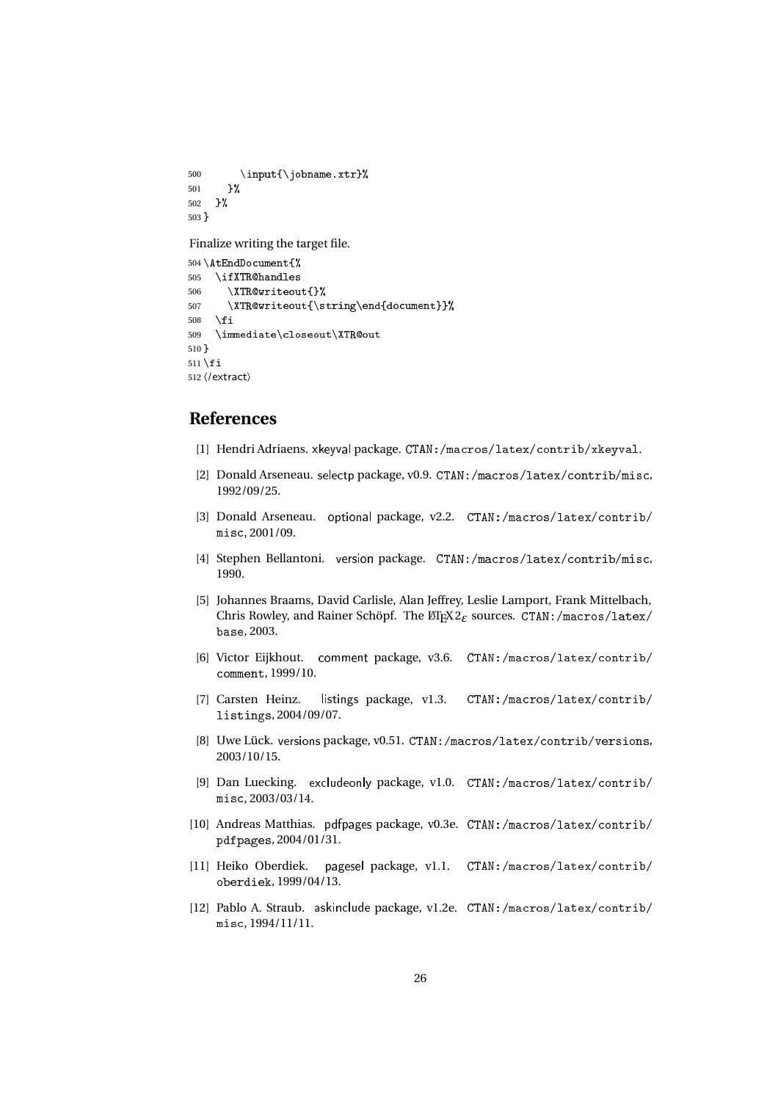500 \input {\jobname.xtr}% 501 }% 502 }% 503 }

Finalize writing the target file.

```
504 \AtEndDocument{%
505 \ifXTR@handles
506 \XTR@writeout{}%
507 \XTR@writeout{\string\end{document}}%
508 \setminusfi
509 \immediate\closeout\XTR@out
510 }
511 \fi
512 〈/extract〉
```
## **References**

- [1] Hendri Adriaens. xkeyval package. CTAN: /macros/latex/contrib/xkeyval.
- [2] Donald Arseneau. selectp package, v0.9. CTAN:/macros/latex/contrib/misc, 1992/09/25.
- [3] Donald Arseneau. optional package, v2.2. CTAN:/macros/latex/contrib/ misc. 2001/09.
- [4] Stephen Bellantoni. version package. CTAN:/macros/latex/contrib/misc, 1990.
- [5] Johannes Braams, David Carlisle, Alan Jeffrey, Leslie Lamport, Frank Mittelbach, Chris Rowley, and Rainer Schöpf. The ET<sub>F</sub>X2<sub>ε</sub> sources. CTAN:/macros/latex/ base, 2003.
- [6] Victor Eijkhout. comment package, v3.6. CTAN:/macros/latex/contrib/ omment, 1999/10.
- [7] Carsten Heinz. listings package, v1.3. CTAN:/macros/latex/contrib/ listings, 2004/09/07.
- [8] Uwe Lück. versions package, v0.51. CTAN: /macros/latex/contrib/versions, 2003/10/15.
- [9] Dan Luecking. excludeonly package, v1.0. CTAN:/macros/latex/contrib/ mis , 2003/03/14.
- [10] Andreas Matthias. pdfpages package, v0.3e. CTAN:/macros/latex/contrib/ pdfpages, 2004/01/31.
- [11] Heiko Oberdiek. pagesel package, v1.1. CTAN:/macros/latex/contrib/ oberdiek, 1999/04/13.
- [12] Pablo A. Straub. askinclude package, v1.2e. CTAN:/macros/latex/contrib/ mis , 1994/11/11.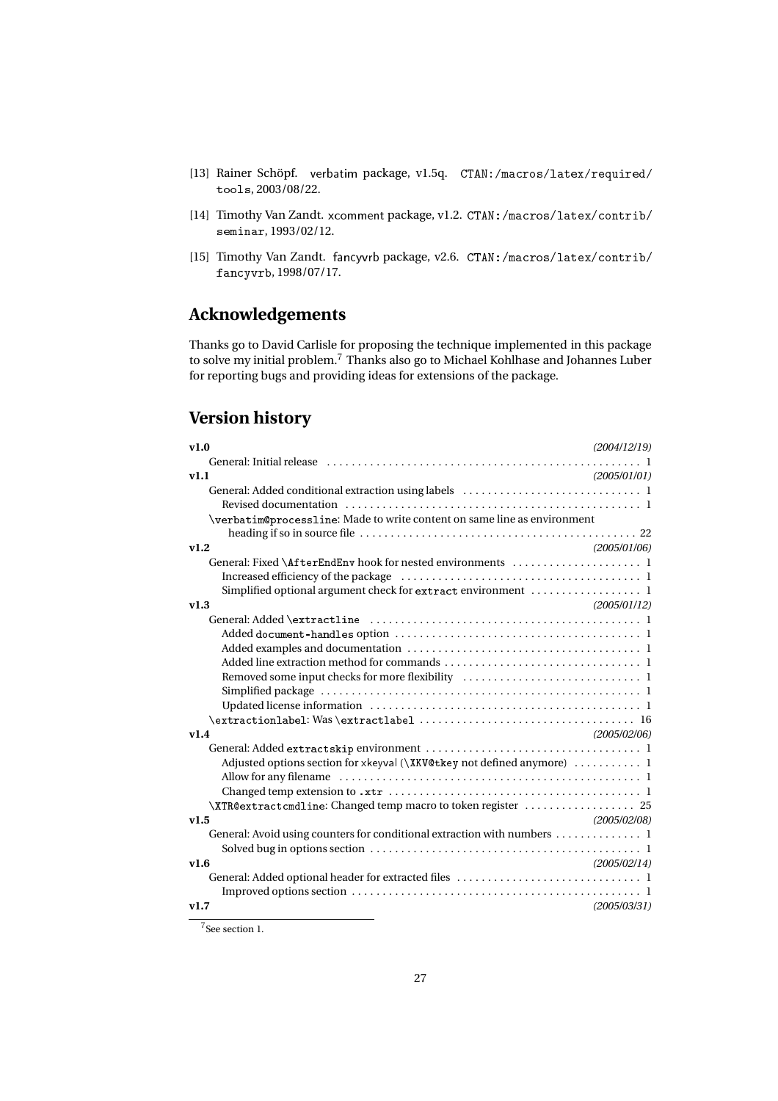- [13] Rainer Schöpf. verbatim package, v1.5q. CTAN:/macros/latex/required/ tools, 2003/08/22.
- [14] Timothy Van Zandt. xcomment package, v1.2. CTAN:/macros/latex/contrib/ seminar, 1993/02/12.
- [15] Timothy Van Zandt. fancyvrb package, v2.6. CTAN:/macros/latex/contrib/ fan
yvrb, 1998/07/17.

# **Acknowledgements**

Thanks go to David Carlisle for proposing the technique implemented in this package to solve my initial problem.<sup>7</sup> Thanks also go to Michael Kohlhase and Johannes Luber for reporting bugs and providing ideas for extensions of the package.

# **Version history**

| v1.0<br>(2004/12/19)                                                                                                            |
|---------------------------------------------------------------------------------------------------------------------------------|
|                                                                                                                                 |
| v1.1<br>(2005/01/01)                                                                                                            |
|                                                                                                                                 |
|                                                                                                                                 |
| \verbatim@processline: Made to write content on same line as environment                                                        |
|                                                                                                                                 |
| v1.2<br>(2005/01/06)                                                                                                            |
|                                                                                                                                 |
|                                                                                                                                 |
| Simplified optional argument check for extract environment  1                                                                   |
| (2005/01/12)<br>v1.3                                                                                                            |
|                                                                                                                                 |
|                                                                                                                                 |
|                                                                                                                                 |
|                                                                                                                                 |
|                                                                                                                                 |
|                                                                                                                                 |
|                                                                                                                                 |
|                                                                                                                                 |
| v1.4<br>(2005/02/06)                                                                                                            |
|                                                                                                                                 |
|                                                                                                                                 |
|                                                                                                                                 |
|                                                                                                                                 |
| \XTR@extractcmdline: Changed temp macro to token register  25                                                                   |
| v1.5<br>(2005/02/08)                                                                                                            |
| General: Avoid using counters for conditional extraction with numbers 1                                                         |
| Solved bug in options section $\dots \dots \dots \dots \dots \dots \dots \dots \dots \dots \dots \dots \dots \dots \dots \dots$ |
| V1.6<br>(2005/02/14)                                                                                                            |
|                                                                                                                                 |
|                                                                                                                                 |
| v1.7<br>(2005/03/31)                                                                                                            |

<sup>7</sup>See section 1.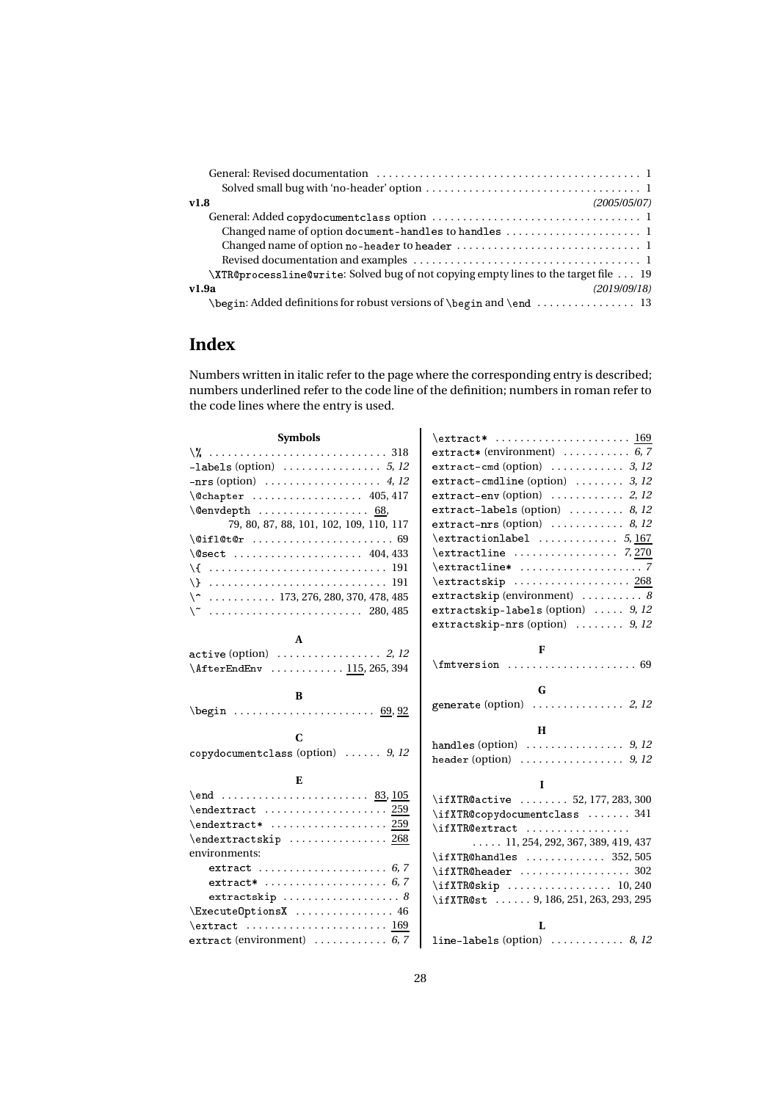| (2005/05/07)<br>v1.8                                                                       |
|--------------------------------------------------------------------------------------------|
|                                                                                            |
| Changed name of option document-handles to handles  1                                      |
|                                                                                            |
|                                                                                            |
| \XTR@processline@write: Solved bug of not copying empty lines to the target file  19       |
| v1.9a<br>(2019/09/18)                                                                      |
| \begin: Added definitions for robust versions of \begin and \end $\dots\dots\dots\dots$ 13 |

# **Index**

Numbers written in italic refer to the page where the corresponding entry is described; numbers underlined refer to the code line of the definition; numbers in roman refer to the code lines where the entry is used.

| <b>Symbols</b>                                                                        | \extract*  169                                           |
|---------------------------------------------------------------------------------------|----------------------------------------------------------|
|                                                                                       | extract* (environment) $\ldots \ldots \ldots 6, 7$       |
|                                                                                       | extract-cmd (option) $\ldots \ldots \ldots$ 3, 12        |
|                                                                                       | extract-cmdline (option) $\ldots \ldots$ 3, 12           |
| \@chapter  405,417                                                                    | extract-env (option) $\ldots \ldots \ldots$ 2, 12        |
| $\{\mathbb{Q}$ envdepth  68,                                                          | extract-labels (option) $\ldots \ldots \ldots$ 8, 12     |
| 79, 80, 87, 88, 101, 102, 109, 110, 117                                               | extract-nrs (option) $\ldots \ldots \ldots \ldots$ 8, 12 |
| $\left\{\text{Qifl@t@r \ldots \ldots \ldots \ldots 69}\right\}$                       | $\texttt{textionlabel} \dots \dots \dots \dots 5, 167$   |
| \@sect  404,433                                                                       | $\text{extractline} \dots \dots \dots \dots$ 7,270       |
| \{  191                                                                               | $\texttt{textline*} \dots \dots \dots \dots \dots 7$     |
|                                                                                       |                                                          |
| $\{\hat{ }$ 173, 276, 280, 370, 478, 485                                              | extractskip (environment) $\ldots \ldots \ldots$ 8       |
| $\sqrt{ }$ 280, 485                                                                   | extractskip-labels (option) $\ldots$ 9, 12               |
|                                                                                       | extractskip-nrs (option) $\ldots \ldots$ 9, 12           |
| A                                                                                     |                                                          |
|                                                                                       | F                                                        |
| \AfterEndEnv  115, 265, 394                                                           |                                                          |
|                                                                                       |                                                          |
| B                                                                                     | G                                                        |
| $\begin{array}{ccccccccc}\n\text{begin} 0.92\n\end{array}$                            |                                                          |
|                                                                                       | H                                                        |
| C                                                                                     |                                                          |
| copy do cument class (option) $\ldots$ 9, 12                                          |                                                          |
| E                                                                                     | L                                                        |
| \end  83, 105                                                                         | \ifXTR@active  52, 177, 283, 300                         |
|                                                                                       | \ifXTR@copydocumentclass  341                            |
|                                                                                       | $\iint XTRQ$ extract                                     |
| $\end{textsfkip}$ 268                                                                 | $\ldots$ 11, 254, 292, 367, 389, 419, 437                |
| environments:                                                                         | $\iint XTR@handles$ 352,505                              |
| extract  6,7                                                                          | \ifXTR@header  302                                       |
|                                                                                       | $\if{XTRQskip     10, 240}$                              |
| extractskip $\ldots \ldots \ldots \ldots \ldots \ldots$ 8                             | \ifXTR@st  9, 186, 251, 263, 293, 295                    |
| \ExecuteOptionsX  46                                                                  |                                                          |
| $\text{text} \dots \dots \dots \dots \dots \dots \dots \dots \dots \dots \dots \dots$ | L                                                        |
| extract (environment) $\ldots \ldots \ldots 6, 7$                                     | line-labels (option) $\ldots \ldots \ldots \ldots$ 8, 12 |